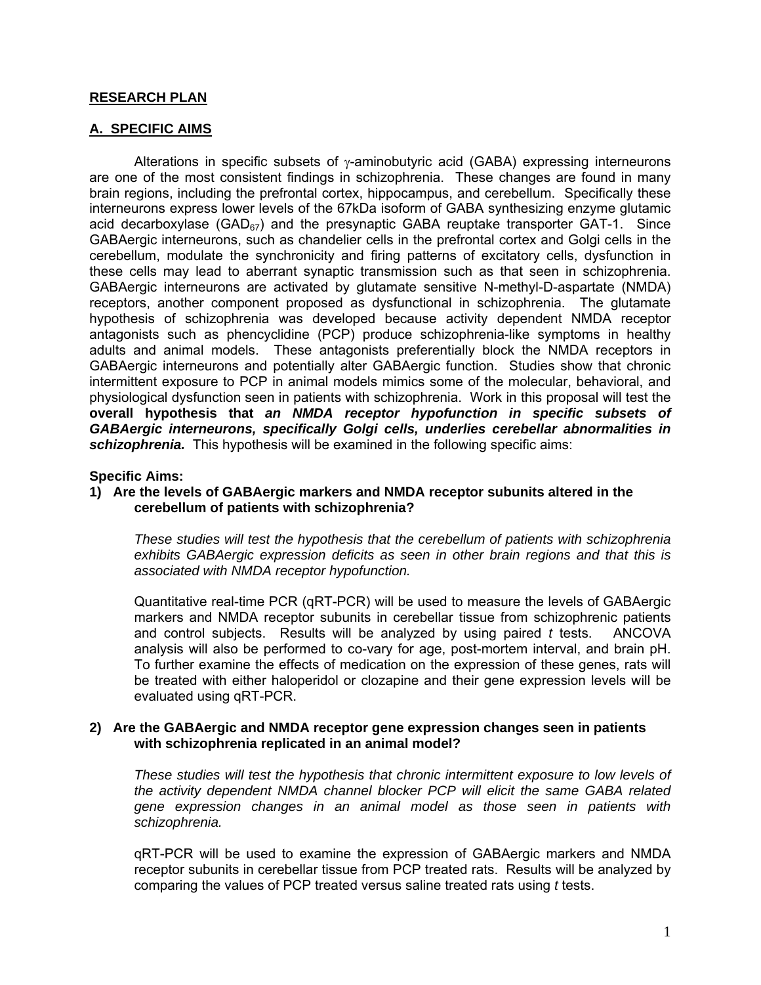# **RESEARCH PLAN**

# **A. SPECIFIC AIMS**

Alterations in specific subsets of  $\gamma$ -aminobutyric acid (GABA) expressing interneurons are one of the most consistent findings in schizophrenia. These changes are found in many brain regions, including the prefrontal cortex, hippocampus, and cerebellum. Specifically these interneurons express lower levels of the 67kDa isoform of GABA synthesizing enzyme glutamic acid decarboxylase (GAD $_{67}$ ) and the presynaptic GABA reuptake transporter GAT-1. Since GABAergic interneurons, such as chandelier cells in the prefrontal cortex and Golgi cells in the cerebellum, modulate the synchronicity and firing patterns of excitatory cells, dysfunction in these cells may lead to aberrant synaptic transmission such as that seen in schizophrenia. GABAergic interneurons are activated by glutamate sensitive N-methyl-D-aspartate (NMDA) receptors, another component proposed as dysfunctional in schizophrenia. The glutamate hypothesis of schizophrenia was developed because activity dependent NMDA receptor antagonists such as phencyclidine (PCP) produce schizophrenia-like symptoms in healthy adults and animal models. These antagonists preferentially block the NMDA receptors in GABAergic interneurons and potentially alter GABAergic function. Studies show that chronic intermittent exposure to PCP in animal models mimics some of the molecular, behavioral, and physiological dysfunction seen in patients with schizophrenia. Work in this proposal will test the **overall hypothesis that** *an NMDA receptor hypofunction in specific subsets of GABAergic interneurons, specifically Golgi cells, underlies cerebellar abnormalities in schizophrenia.* This hypothesis will be examined in the following specific aims:

## **Specific Aims:**

## **1) Are the levels of GABAergic markers and NMDA receptor subunits altered in the cerebellum of patients with schizophrenia?**

*These studies will test the hypothesis that the cerebellum of patients with schizophrenia exhibits GABAergic expression deficits as seen in other brain regions and that this is associated with NMDA receptor hypofunction.* 

Quantitative real-time PCR (qRT-PCR) will be used to measure the levels of GABAergic markers and NMDA receptor subunits in cerebellar tissue from schizophrenic patients and control subjects. Results will be analyzed by using paired *t* tests. ANCOVA analysis will also be performed to co-vary for age, post-mortem interval, and brain pH. To further examine the effects of medication on the expression of these genes, rats will be treated with either haloperidol or clozapine and their gene expression levels will be evaluated using qRT-PCR.

## **2) Are the GABAergic and NMDA receptor gene expression changes seen in patients with schizophrenia replicated in an animal model?**

*These studies will test the hypothesis that chronic intermittent exposure to low levels of the activity dependent NMDA channel blocker PCP will elicit the same GABA related gene expression changes in an animal model as those seen in patients with schizophrenia.* 

qRT-PCR will be used to examine the expression of GABAergic markers and NMDA receptor subunits in cerebellar tissue from PCP treated rats. Results will be analyzed by comparing the values of PCP treated versus saline treated rats using *t* tests.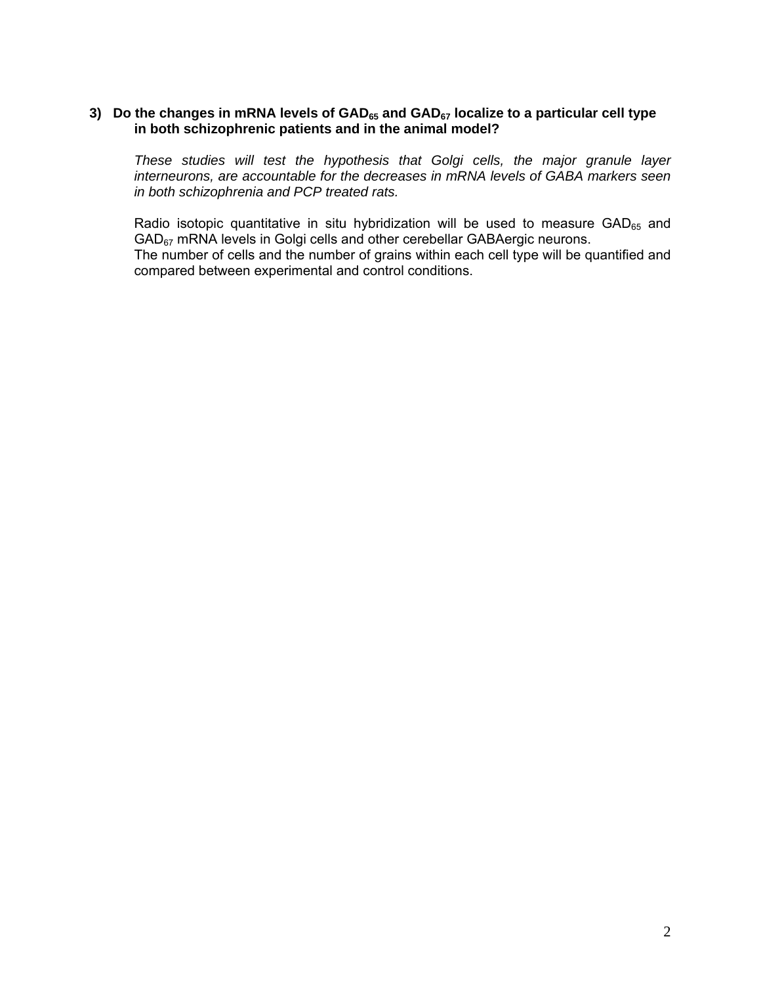# 3) Do the changes in mRNA levels of GAD<sub>65</sub> and GAD<sub>67</sub> localize to a particular cell type  **in both schizophrenic patients and in the animal model?**

*These studies will test the hypothesis that Golgi cells, the major granule layer interneurons, are accountable for the decreases in mRNA levels of GABA markers seen in both schizophrenia and PCP treated rats.* 

Radio isotopic quantitative in situ hybridization will be used to measure  $GAD_{65}$  and GAD67 mRNA levels in Golgi cells and other cerebellar GABAergic neurons. The number of cells and the number of grains within each cell type will be quantified and compared between experimental and control conditions.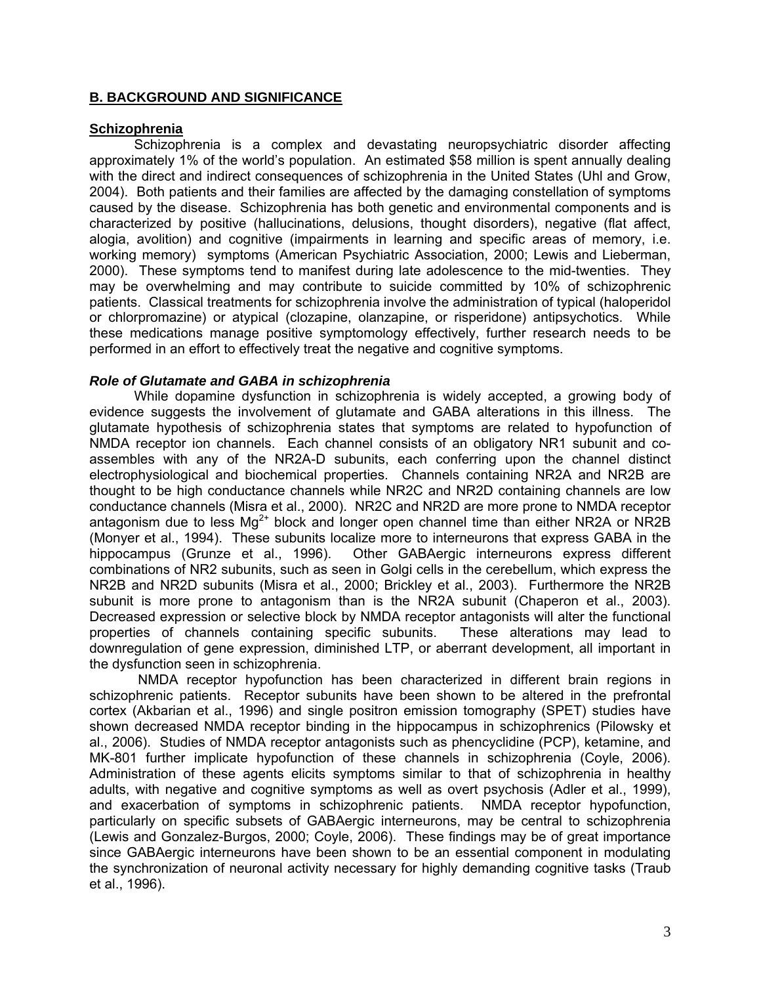# **B. BACKGROUND AND SIGNIFICANCE**

## **Schizophrenia**

Schizophrenia is a complex and devastating neuropsychiatric disorder affecting approximately 1% of the world's population. An estimated \$58 million is spent annually dealing with the direct and indirect consequences of schizophrenia in the United States (Uhl and Grow, 2004). Both patients and their families are affected by the damaging constellation of symptoms caused by the disease. Schizophrenia has both genetic and environmental components and is characterized by positive (hallucinations, delusions, thought disorders), negative (flat affect, alogia, avolition) and cognitive (impairments in learning and specific areas of memory, i.e. working memory) symptoms (American Psychiatric Association, 2000; Lewis and Lieberman, 2000). These symptoms tend to manifest during late adolescence to the mid-twenties. They may be overwhelming and may contribute to suicide committed by 10% of schizophrenic patients. Classical treatments for schizophrenia involve the administration of typical (haloperidol or chlorpromazine) or atypical (clozapine, olanzapine, or risperidone) antipsychotics. While these medications manage positive symptomology effectively, further research needs to be performed in an effort to effectively treat the negative and cognitive symptoms.

# *Role of Glutamate and GABA in schizophrenia*

While dopamine dysfunction in schizophrenia is widely accepted, a growing body of evidence suggests the involvement of glutamate and GABA alterations in this illness. The glutamate hypothesis of schizophrenia states that symptoms are related to hypofunction of NMDA receptor ion channels. Each channel consists of an obligatory NR1 subunit and coassembles with any of the NR2A-D subunits, each conferring upon the channel distinct electrophysiological and biochemical properties. Channels containing NR2A and NR2B are thought to be high conductance channels while NR2C and NR2D containing channels are low conductance channels (Misra et al., 2000). NR2C and NR2D are more prone to NMDA receptor antagonism due to less  $Mg^{2+}$  block and longer open channel time than either NR2A or NR2B (Monyer et al., 1994). These subunits localize more to interneurons that express GABA in the hippocampus (Grunze et al., 1996). Other GABAergic interneurons express different combinations of NR2 subunits, such as seen in Golgi cells in the cerebellum, which express the NR2B and NR2D subunits (Misra et al., 2000; Brickley et al., 2003). Furthermore the NR2B subunit is more prone to antagonism than is the NR2A subunit (Chaperon et al., 2003). Decreased expression or selective block by NMDA receptor antagonists will alter the functional properties of channels containing specific subunits. These alterations may lead to downregulation of gene expression, diminished LTP, or aberrant development, all important in the dysfunction seen in schizophrenia.

 NMDA receptor hypofunction has been characterized in different brain regions in schizophrenic patients. Receptor subunits have been shown to be altered in the prefrontal cortex (Akbarian et al., 1996) and single positron emission tomography (SPET) studies have shown decreased NMDA receptor binding in the hippocampus in schizophrenics (Pilowsky et al., 2006). Studies of NMDA receptor antagonists such as phencyclidine (PCP), ketamine, and MK-801 further implicate hypofunction of these channels in schizophrenia (Coyle, 2006). Administration of these agents elicits symptoms similar to that of schizophrenia in healthy adults, with negative and cognitive symptoms as well as overt psychosis (Adler et al., 1999), and exacerbation of symptoms in schizophrenic patients. NMDA receptor hypofunction, particularly on specific subsets of GABAergic interneurons, may be central to schizophrenia (Lewis and Gonzalez-Burgos, 2000; Coyle, 2006). These findings may be of great importance since GABAergic interneurons have been shown to be an essential component in modulating the synchronization of neuronal activity necessary for highly demanding cognitive tasks (Traub et al., 1996).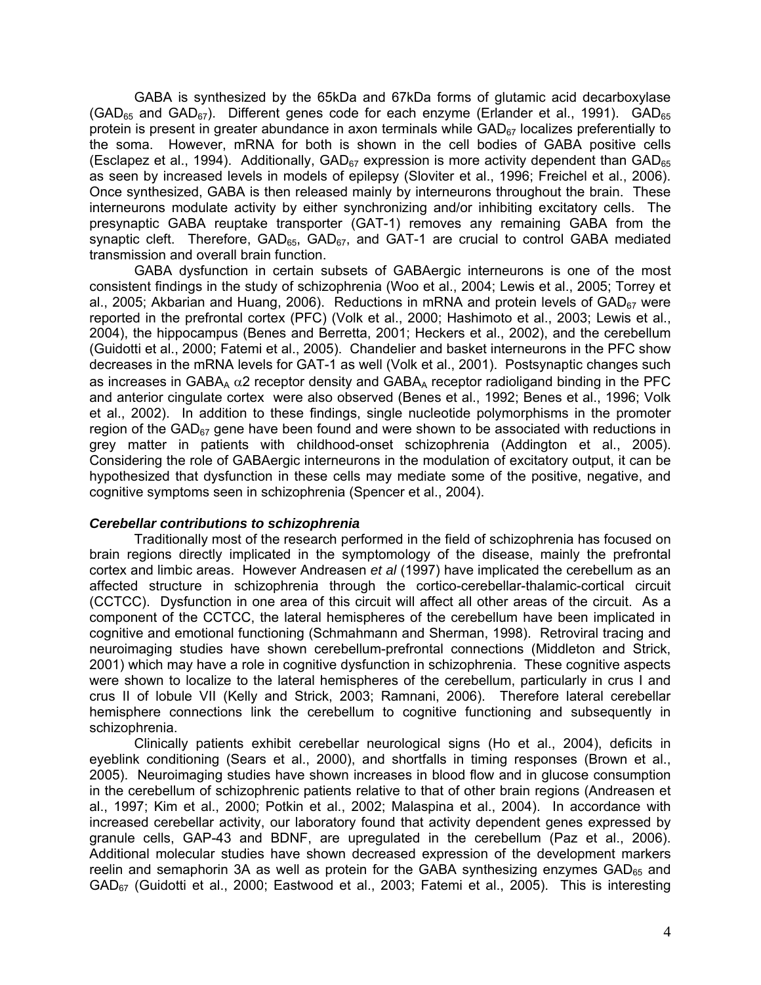GABA is synthesized by the 65kDa and 67kDa forms of glutamic acid decarboxylase  $(GAD_{65}$  and  $GAD_{67}$ ). Different genes code for each enzyme (Erlander et al., 1991).  $GAD_{65}$ protein is present in greater abundance in axon terminals while  $GAD_{67}$  localizes preferentially to the soma. However, mRNA for both is shown in the cell bodies of GABA positive cells (Esclapez et al., 1994). Additionally,  $GAD_{67}$  expression is more activity dependent than  $GAD_{65}$ as seen by increased levels in models of epilepsy (Sloviter et al., 1996; Freichel et al., 2006). Once synthesized, GABA is then released mainly by interneurons throughout the brain. These interneurons modulate activity by either synchronizing and/or inhibiting excitatory cells. The presynaptic GABA reuptake transporter (GAT-1) removes any remaining GABA from the synaptic cleft. Therefore,  $GAD_{65}$ ,  $GAD_{67}$ , and  $GAT-1$  are crucial to control GABA mediated transmission and overall brain function.

GABA dysfunction in certain subsets of GABAergic interneurons is one of the most consistent findings in the study of schizophrenia (Woo et al., 2004; Lewis et al., 2005; Torrey et al., 2005; Akbarian and Huang, 2006). Reductions in mRNA and protein levels of  $GAD_{67}$  were reported in the prefrontal cortex (PFC) (Volk et al., 2000; Hashimoto et al., 2003; Lewis et al., 2004), the hippocampus (Benes and Berretta, 2001; Heckers et al., 2002), and the cerebellum (Guidotti et al., 2000; Fatemi et al., 2005). Chandelier and basket interneurons in the PFC show decreases in the mRNA levels for GAT-1 as well (Volk et al., 2001). Postsynaptic changes such as increases in GABA<sub>A</sub>  $\alpha$ 2 receptor density and GABA<sub>A</sub> receptor radioligand binding in the PFC and anterior cingulate cortex were also observed (Benes et al., 1992; Benes et al., 1996; Volk et al., 2002). In addition to these findings, single nucleotide polymorphisms in the promoter region of the GAD $_{67}$  gene have been found and were shown to be associated with reductions in grey matter in patients with childhood-onset schizophrenia (Addington et al., 2005). Considering the role of GABAergic interneurons in the modulation of excitatory output, it can be hypothesized that dysfunction in these cells may mediate some of the positive, negative, and cognitive symptoms seen in schizophrenia (Spencer et al., 2004).

## *Cerebellar contributions to schizophrenia*

Traditionally most of the research performed in the field of schizophrenia has focused on brain regions directly implicated in the symptomology of the disease, mainly the prefrontal cortex and limbic areas. However Andreasen *et al* (1997) have implicated the cerebellum as an affected structure in schizophrenia through the cortico-cerebellar-thalamic-cortical circuit (CCTCC). Dysfunction in one area of this circuit will affect all other areas of the circuit. As a component of the CCTCC, the lateral hemispheres of the cerebellum have been implicated in cognitive and emotional functioning (Schmahmann and Sherman, 1998). Retroviral tracing and neuroimaging studies have shown cerebellum-prefrontal connections (Middleton and Strick, 2001) which may have a role in cognitive dysfunction in schizophrenia. These cognitive aspects were shown to localize to the lateral hemispheres of the cerebellum, particularly in crus I and crus II of lobule VII (Kelly and Strick, 2003; Ramnani, 2006). Therefore lateral cerebellar hemisphere connections link the cerebellum to cognitive functioning and subsequently in schizophrenia.

Clinically patients exhibit cerebellar neurological signs (Ho et al., 2004), deficits in eyeblink conditioning (Sears et al., 2000), and shortfalls in timing responses (Brown et al., 2005). Neuroimaging studies have shown increases in blood flow and in glucose consumption in the cerebellum of schizophrenic patients relative to that of other brain regions (Andreasen et al., 1997; Kim et al., 2000; Potkin et al., 2002; Malaspina et al., 2004). In accordance with increased cerebellar activity, our laboratory found that activity dependent genes expressed by granule cells, GAP-43 and BDNF, are upregulated in the cerebellum (Paz et al., 2006). Additional molecular studies have shown decreased expression of the development markers reelin and semaphorin 3A as well as protein for the GABA synthesizing enzymes  $GAD_{65}$  and GAD67 (Guidotti et al., 2000; Eastwood et al., 2003; Fatemi et al., 2005). This is interesting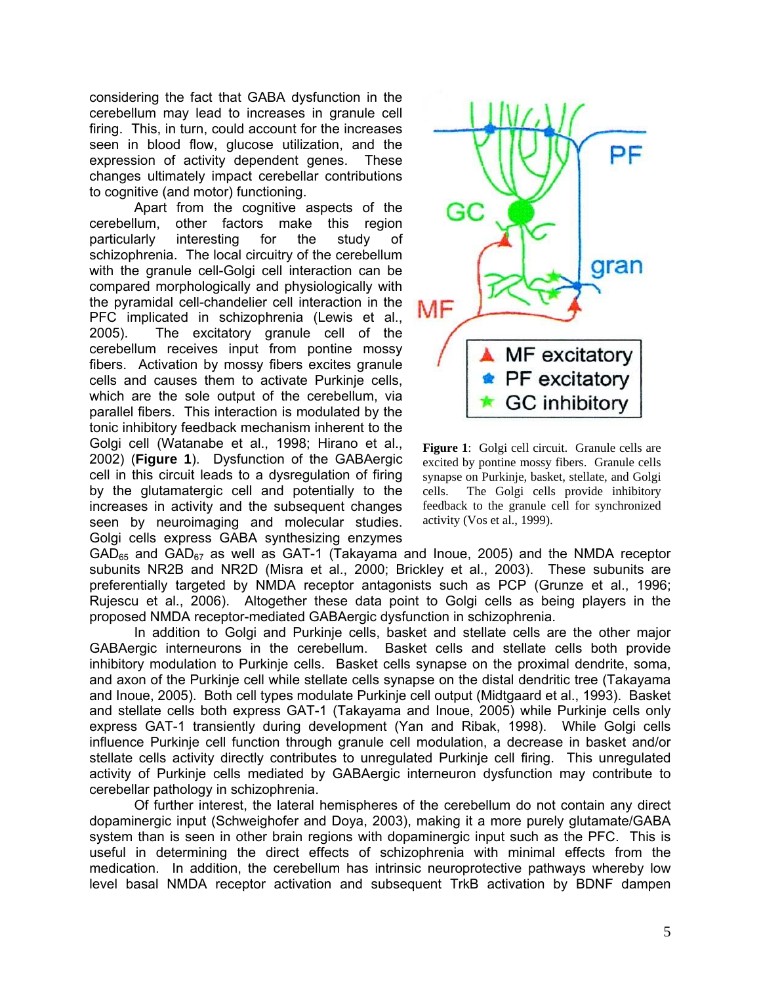considering the fact that GABA dysfunction in the cerebellum may lead to increases in granule cell firing. This, in turn, could account for the increases seen in blood flow, glucose utilization, and the expression of activity dependent genes. These changes ultimately impact cerebellar contributions to cognitive (and motor) functioning.

Apart from the cognitive aspects of the cerebellum, other factors make this region particularly interesting for the study of schizophrenia. The local circuitry of the cerebellum with the granule cell-Golgi cell interaction can be compared morphologically and physiologically with the pyramidal cell-chandelier cell interaction in the PFC implicated in schizophrenia (Lewis et al., 2005). The excitatory granule cell of the cerebellum receives input from pontine mossy fibers. Activation by mossy fibers excites granule cells and causes them to activate Purkinje cells, which are the sole output of the cerebellum, via parallel fibers. This interaction is modulated by the tonic inhibitory feedback mechanism inherent to the Golgi cell (Watanabe et al., 1998; Hirano et al., 2002) (**Figure 1**). Dysfunction of the GABAergic cell in this circuit leads to a dysregulation of firing by the glutamatergic cell and potentially to the increases in activity and the subsequent changes seen by neuroimaging and molecular studies. Golgi cells express GABA synthesizing enzymes



**Figure 1**: Golgi cell circuit. Granule cells are excited by pontine mossy fibers. Granule cells synapse on Purkinje, basket, stellate, and Golgi cells. The Golgi cells provide inhibitory feedback to the granule cell for synchronized activity (Vos et al., 1999).

 $GAD_{65}$  and  $GAD_{67}$  as well as GAT-1 (Takayama and Inoue, 2005) and the NMDA receptor subunits NR2B and NR2D (Misra et al., 2000; Brickley et al., 2003). These subunits are preferentially targeted by NMDA receptor antagonists such as PCP (Grunze et al., 1996; Rujescu et al., 2006). Altogether these data point to Golgi cells as being players in the proposed NMDA receptor-mediated GABAergic dysfunction in schizophrenia.

In addition to Golgi and Purkinje cells, basket and stellate cells are the other major GABAergic interneurons in the cerebellum. Basket cells and stellate cells both provide inhibitory modulation to Purkinje cells. Basket cells synapse on the proximal dendrite, soma, and axon of the Purkinje cell while stellate cells synapse on the distal dendritic tree (Takayama and Inoue, 2005). Both cell types modulate Purkinje cell output (Midtgaard et al., 1993). Basket and stellate cells both express GAT-1 (Takayama and Inoue, 2005) while Purkinje cells only express GAT-1 transiently during development (Yan and Ribak, 1998). While Golgi cells influence Purkinje cell function through granule cell modulation, a decrease in basket and/or stellate cells activity directly contributes to unregulated Purkinje cell firing. This unregulated activity of Purkinje cells mediated by GABAergic interneuron dysfunction may contribute to cerebellar pathology in schizophrenia.

Of further interest, the lateral hemispheres of the cerebellum do not contain any direct dopaminergic input (Schweighofer and Doya, 2003), making it a more purely glutamate/GABA system than is seen in other brain regions with dopaminergic input such as the PFC. This is useful in determining the direct effects of schizophrenia with minimal effects from the medication. In addition, the cerebellum has intrinsic neuroprotective pathways whereby low level basal NMDA receptor activation and subsequent TrkB activation by BDNF dampen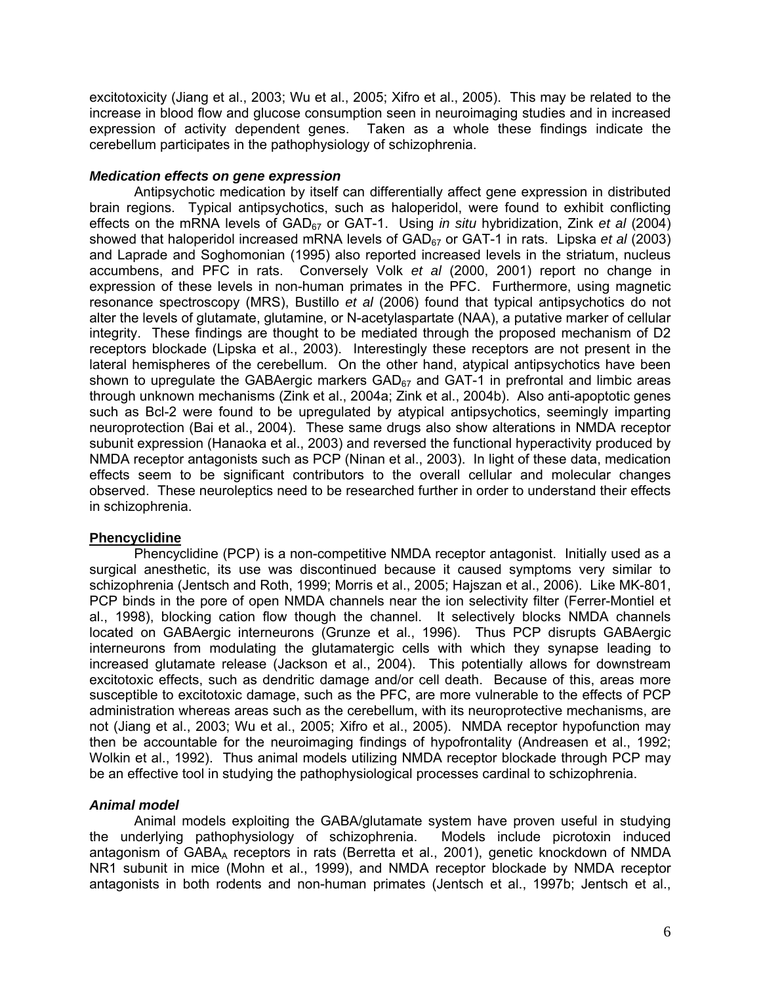excitotoxicity (Jiang et al., 2003; Wu et al., 2005; Xifro et al., 2005). This may be related to the increase in blood flow and glucose consumption seen in neuroimaging studies and in increased expression of activity dependent genes. Taken as a whole these findings indicate the cerebellum participates in the pathophysiology of schizophrenia.

# *Medication effects on gene expression*

Antipsychotic medication by itself can differentially affect gene expression in distributed brain regions. Typical antipsychotics, such as haloperidol, were found to exhibit conflicting effects on the mRNA levels of GAD<sub>67</sub> or GAT-1. Using *in situ* hybridization, Zink *et al* (2004) showed that haloperidol increased mRNA levels of GAD<sub>67</sub> or GAT-1 in rats. Lipska *et al* (2003) and Laprade and Soghomonian (1995) also reported increased levels in the striatum, nucleus accumbens, and PFC in rats. Conversely Volk *et al* (2000, 2001) report no change in expression of these levels in non-human primates in the PFC. Furthermore, using magnetic resonance spectroscopy (MRS), Bustillo *et al* (2006) found that typical antipsychotics do not alter the levels of glutamate, glutamine, or N-acetylaspartate (NAA), a putative marker of cellular integrity. These findings are thought to be mediated through the proposed mechanism of D2 receptors blockade (Lipska et al., 2003). Interestingly these receptors are not present in the lateral hemispheres of the cerebellum. On the other hand, atypical antipsychotics have been shown to upregulate the GABAergic markers  $GAD_{67}$  and  $GAT-1$  in prefrontal and limbic areas through unknown mechanisms (Zink et al., 2004a; Zink et al., 2004b). Also anti-apoptotic genes such as Bcl-2 were found to be upregulated by atypical antipsychotics, seemingly imparting neuroprotection (Bai et al., 2004). These same drugs also show alterations in NMDA receptor subunit expression (Hanaoka et al., 2003) and reversed the functional hyperactivity produced by NMDA receptor antagonists such as PCP (Ninan et al., 2003). In light of these data, medication effects seem to be significant contributors to the overall cellular and molecular changes observed. These neuroleptics need to be researched further in order to understand their effects in schizophrenia.

## **Phencyclidine**

Phencyclidine (PCP) is a non-competitive NMDA receptor antagonist. Initially used as a surgical anesthetic, its use was discontinued because it caused symptoms very similar to schizophrenia (Jentsch and Roth, 1999; Morris et al., 2005; Hajszan et al., 2006). Like MK-801, PCP binds in the pore of open NMDA channels near the ion selectivity filter (Ferrer-Montiel et al., 1998), blocking cation flow though the channel. It selectively blocks NMDA channels located on GABAergic interneurons (Grunze et al., 1996). Thus PCP disrupts GABAergic interneurons from modulating the glutamatergic cells with which they synapse leading to increased glutamate release (Jackson et al., 2004). This potentially allows for downstream excitotoxic effects, such as dendritic damage and/or cell death. Because of this, areas more susceptible to excitotoxic damage, such as the PFC, are more vulnerable to the effects of PCP administration whereas areas such as the cerebellum, with its neuroprotective mechanisms, are not (Jiang et al., 2003; Wu et al., 2005; Xifro et al., 2005). NMDA receptor hypofunction may then be accountable for the neuroimaging findings of hypofrontality (Andreasen et al., 1992; Wolkin et al., 1992). Thus animal models utilizing NMDA receptor blockade through PCP may be an effective tool in studying the pathophysiological processes cardinal to schizophrenia.

## *Animal model*

 Animal models exploiting the GABA/glutamate system have proven useful in studying the underlying pathophysiology of schizophrenia. Models include picrotoxin induced antagonism of GABA<sub>A</sub> receptors in rats (Berretta et al., 2001), genetic knockdown of NMDA NR1 subunit in mice (Mohn et al., 1999), and NMDA receptor blockade by NMDA receptor antagonists in both rodents and non-human primates (Jentsch et al., 1997b; Jentsch et al.,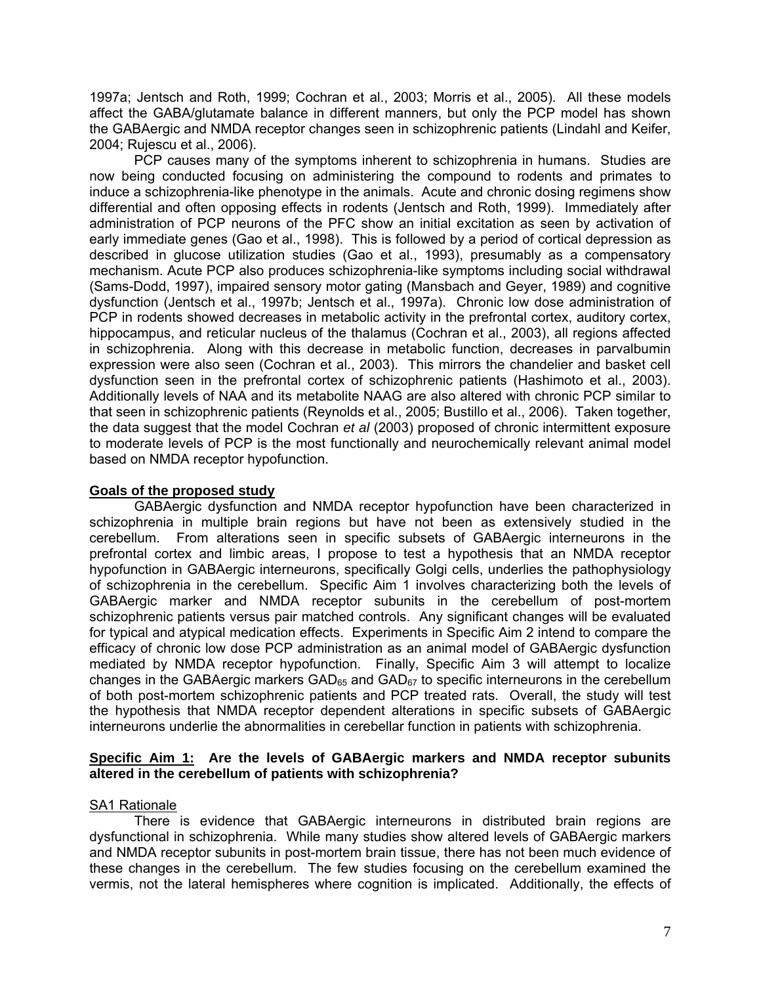1997a; Jentsch and Roth, 1999; Cochran et al., 2003; Morris et al., 2005). All these models affect the GABA/glutamate balance in different manners, but only the PCP model has shown the GABAergic and NMDA receptor changes seen in schizophrenic patients (Lindahl and Keifer, 2004; Rujescu et al., 2006).

PCP causes many of the symptoms inherent to schizophrenia in humans. Studies are now being conducted focusing on administering the compound to rodents and primates to induce a schizophrenia-like phenotype in the animals. Acute and chronic dosing regimens show differential and often opposing effects in rodents (Jentsch and Roth, 1999). Immediately after administration of PCP neurons of the PFC show an initial excitation as seen by activation of early immediate genes (Gao et al., 1998). This is followed by a period of cortical depression as described in glucose utilization studies (Gao et al., 1993), presumably as a compensatory mechanism. Acute PCP also produces schizophrenia-like symptoms including social withdrawal (Sams-Dodd, 1997), impaired sensory motor gating (Mansbach and Geyer, 1989) and cognitive dysfunction (Jentsch et al., 1997b; Jentsch et al., 1997a). Chronic low dose administration of PCP in rodents showed decreases in metabolic activity in the prefrontal cortex, auditory cortex, hippocampus, and reticular nucleus of the thalamus (Cochran et al., 2003), all regions affected in schizophrenia. Along with this decrease in metabolic function, decreases in parvalbumin expression were also seen (Cochran et al., 2003). This mirrors the chandelier and basket cell dysfunction seen in the prefrontal cortex of schizophrenic patients (Hashimoto et al., 2003). Additionally levels of NAA and its metabolite NAAG are also altered with chronic PCP similar to that seen in schizophrenic patients (Reynolds et al., 2005; Bustillo et al., 2006). Taken together, the data suggest that the model Cochran *et al* (2003) proposed of chronic intermittent exposure to moderate levels of PCP is the most functionally and neurochemically relevant animal model based on NMDA receptor hypofunction.

# **Goals of the proposed study**

GABAergic dysfunction and NMDA receptor hypofunction have been characterized in schizophrenia in multiple brain regions but have not been as extensively studied in the cerebellum. From alterations seen in specific subsets of GABAergic interneurons in the prefrontal cortex and limbic areas, I propose to test a hypothesis that an NMDA receptor hypofunction in GABAergic interneurons, specifically Golgi cells, underlies the pathophysiology of schizophrenia in the cerebellum. Specific Aim 1 involves characterizing both the levels of GABAergic marker and NMDA receptor subunits in the cerebellum of post-mortem schizophrenic patients versus pair matched controls. Any significant changes will be evaluated for typical and atypical medication effects. Experiments in Specific Aim 2 intend to compare the efficacy of chronic low dose PCP administration as an animal model of GABAergic dysfunction mediated by NMDA receptor hypofunction. Finally, Specific Aim 3 will attempt to localize changes in the GABAergic markers GAD $_{65}$  and GAD $_{67}$  to specific interneurons in the cerebellum of both post-mortem schizophrenic patients and PCP treated rats. Overall, the study will test the hypothesis that NMDA receptor dependent alterations in specific subsets of GABAergic interneurons underlie the abnormalities in cerebellar function in patients with schizophrenia.

# **Specific Aim 1: Are the levels of GABAergic markers and NMDA receptor subunits altered in the cerebellum of patients with schizophrenia?**

# SA1 Rationale

 There is evidence that GABAergic interneurons in distributed brain regions are dysfunctional in schizophrenia. While many studies show altered levels of GABAergic markers and NMDA receptor subunits in post-mortem brain tissue, there has not been much evidence of these changes in the cerebellum. The few studies focusing on the cerebellum examined the vermis, not the lateral hemispheres where cognition is implicated. Additionally, the effects of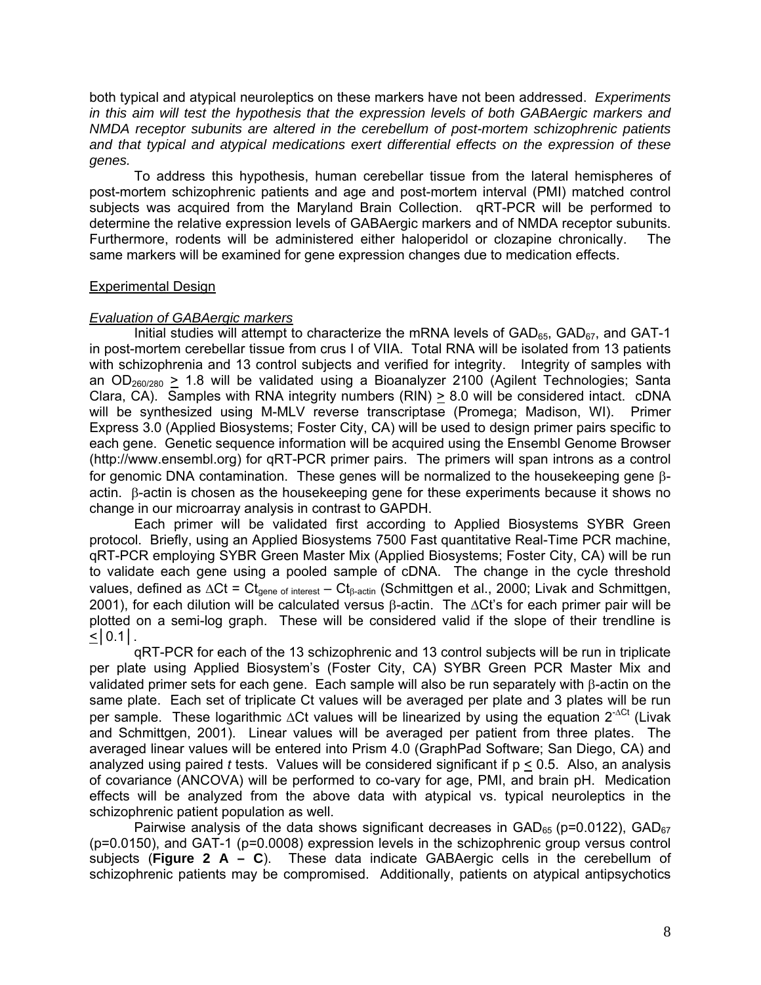both typical and atypical neuroleptics on these markers have not been addressed. *Experiments in this aim will test the hypothesis that the expression levels of both GABAergic markers and NMDA receptor subunits are altered in the cerebellum of post-mortem schizophrenic patients and that typical and atypical medications exert differential effects on the expression of these genes.*

 To address this hypothesis, human cerebellar tissue from the lateral hemispheres of post-mortem schizophrenic patients and age and post-mortem interval (PMI) matched control subjects was acquired from the Maryland Brain Collection. qRT-PCR will be performed to determine the relative expression levels of GABAergic markers and of NMDA receptor subunits. Furthermore, rodents will be administered either haloperidol or clozapine chronically. The same markers will be examined for gene expression changes due to medication effects.

# Experimental Design

# *Evaluation of GABAergic markers*

Initial studies will attempt to characterize the mRNA levels of  $GAD_{65}$ ,  $GAD_{67}$ , and  $GAT-1$ in post-mortem cerebellar tissue from crus I of VIIA. Total RNA will be isolated from 13 patients with schizophrenia and 13 control subjects and verified for integrity. Integrity of samples with an OD<sub>260/280</sub> > 1.8 will be validated using a Bioanalyzer 2100 (Agilent Technologies; Santa Clara, CA). Samples with RNA integrity numbers (RIN) > 8.0 will be considered intact. cDNA will be synthesized using M-MLV reverse transcriptase (Promega; Madison, WI). Primer Express 3.0 (Applied Biosystems; Foster City, CA) will be used to design primer pairs specific to each gene. Genetic sequence information will be acquired using the Ensembl Genome Browser (http:/[/www.ensembl.org\)](http://www.ensembl.org/) for qRT-PCR primer pairs. The primers will span introns as a control for genomic DNA contamination. These genes will be normalized to the housekeeping gene βactin. β-actin is chosen as the housekeeping gene for these experiments because it shows no change in our microarray analysis in contrast to GAPDH.

 Each primer will be validated first according to Applied Biosystems SYBR Green protocol. Briefly, using an Applied Biosystems 7500 Fast quantitative Real-Time PCR machine, qRT-PCR employing SYBR Green Master Mix (Applied Biosystems; Foster City, CA) will be run to validate each gene using a pooled sample of cDNA. The change in the cycle threshold values, defined as  $\Delta Ct = Ct_{gene\ of\ interest} - Ct_{\beta\text{-actin}}$  (Schmittgen et al., 2000; Livak and Schmittgen, 2001), for each dilution will be calculated versus β-actin. The  $\Delta$ Ct's for each primer pair will be plotted on a semi-log graph. These will be considered valid if the slope of their trendline is  $\leq$ | 0.1|.

 qRT-PCR for each of the 13 schizophrenic and 13 control subjects will be run in triplicate per plate using Applied Biosystem's (Foster City, CA) SYBR Green PCR Master Mix and validated primer sets for each gene. Each sample will also be run separately with β-actin on the same plate. Each set of triplicate Ct values will be averaged per plate and 3 plates will be run per sample. These logarithmic  $\Delta$ Ct values will be linearized by using the equation  $2^{-\Delta Ct}$  (Livak and Schmittgen, 2001). Linear values will be averaged per patient from three plates. The averaged linear values will be entered into Prism 4.0 (GraphPad Software; San Diego, CA) and analyzed using paired *t* tests. Values will be considered significant if p < 0.5. Also, an analysis of covariance (ANCOVA) will be performed to co-vary for age, PMI, and brain pH. Medication effects will be analyzed from the above data with atypical vs. typical neuroleptics in the schizophrenic patient population as well.

Pairwise analysis of the data shows significant decreases in  $GAD_{65}$  (p=0.0122),  $GAD_{67}$ (p=0.0150), and GAT-1 (p=0.0008) expression levels in the schizophrenic group versus control subjects (**Figure 2 A – C**). These data indicate GABAergic cells in the cerebellum of schizophrenic patients may be compromised. Additionally, patients on atypical antipsychotics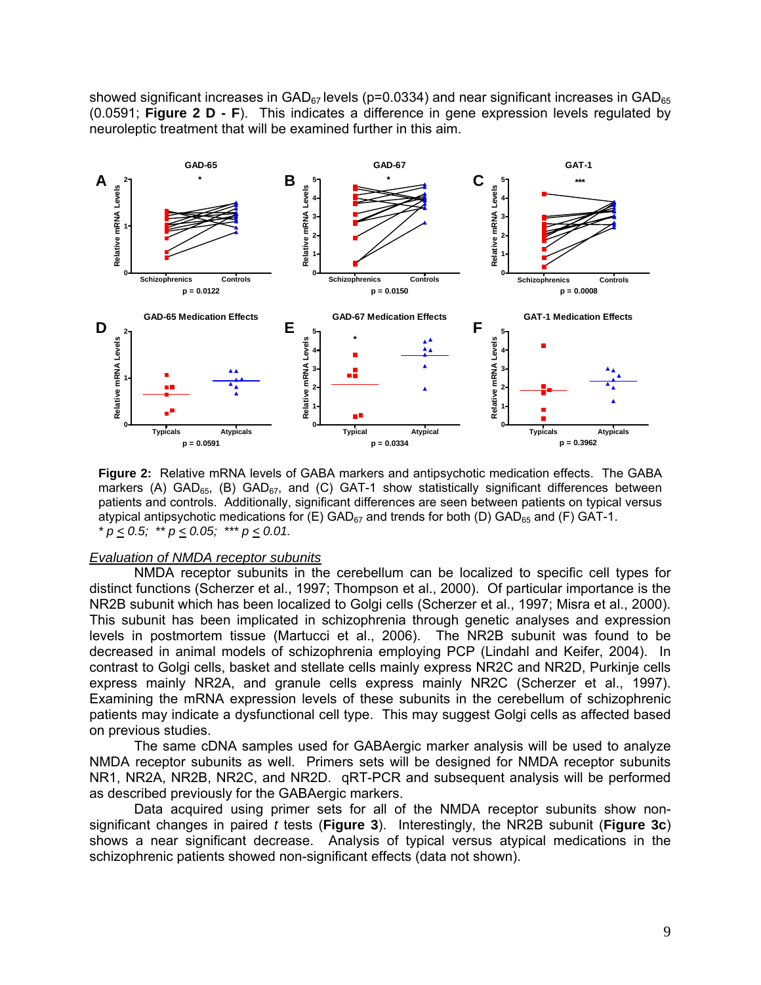showed significant increases in  $GAD_{67}$  levels (p=0.0334) and near significant increases in  $GAD_{65}$ (0.0591; **Figure 2 D - F**). This indicates a difference in gene expression levels regulated by neuroleptic treatment that will be examined further in this aim.



**Figure 2:** Relative mRNA levels of GABA markers and antipsychotic medication effects. The GABA markers (A) GAD<sub>65</sub>, (B) GAD<sub>67</sub>, and (C) GAT-1 show statistically significant differences between patients and controls. Additionally, significant differences are seen between patients on typical versus atypical antipsychotic medications for  $(E)$  GAD $_{67}$  and trends for both (D) GAD $_{65}$  and (F) GAT-1.  $p \leq 0.5$ ; \*\*  $p \leq 0.05$ ; \*\*\*  $p \leq 0.01$ .

#### *Evaluation of NMDA receptor subunits*

 NMDA receptor subunits in the cerebellum can be localized to specific cell types for distinct functions (Scherzer et al., 1997; Thompson et al., 2000). Of particular importance is the NR2B subunit which has been localized to Golgi cells (Scherzer et al., 1997; Misra et al., 2000). This subunit has been implicated in schizophrenia through genetic analyses and expression levels in postmortem tissue (Martucci et al., 2006). The NR2B subunit was found to be decreased in animal models of schizophrenia employing PCP (Lindahl and Keifer, 2004). In contrast to Golgi cells, basket and stellate cells mainly express NR2C and NR2D, Purkinje cells express mainly NR2A, and granule cells express mainly NR2C (Scherzer et al., 1997). Examining the mRNA expression levels of these subunits in the cerebellum of schizophrenic patients may indicate a dysfunctional cell type. This may suggest Golgi cells as affected based on previous studies.

The same cDNA samples used for GABAergic marker analysis will be used to analyze NMDA receptor subunits as well. Primers sets will be designed for NMDA receptor subunits NR1, NR2A, NR2B, NR2C, and NR2D. qRT-PCR and subsequent analysis will be performed as described previously for the GABAergic markers.

 Data acquired using primer sets for all of the NMDA receptor subunits show nonsignificant changes in paired *t* tests (**Figure 3**). Interestingly, the NR2B subunit (**Figure 3c**) shows a near significant decrease. Analysis of typical versus atypical medications in the schizophrenic patients showed non-significant effects (data not shown).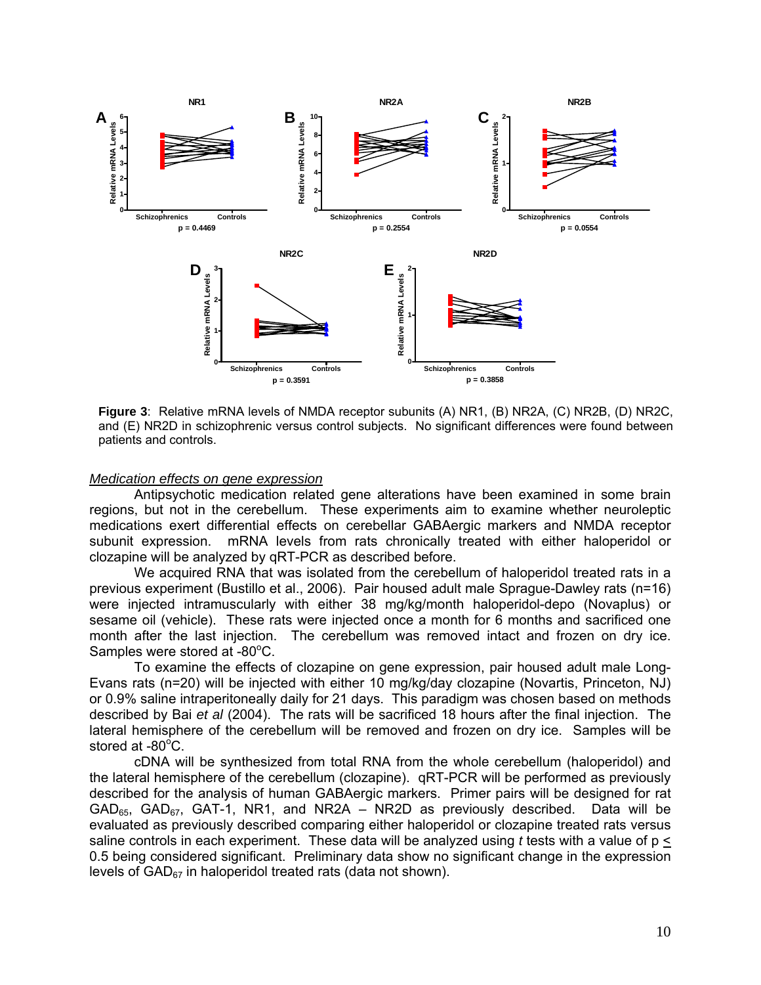

**Figure 3**: Relative mRNA levels of NMDA receptor subunits (A) NR1, (B) NR2A, (C) NR2B, (D) NR2C, and (E) NR2D in schizophrenic versus control subjects. No significant differences were found between patients and controls.

#### *Medication effects on gene expression*

 Antipsychotic medication related gene alterations have been examined in some brain regions, but not in the cerebellum. These experiments aim to examine whether neuroleptic medications exert differential effects on cerebellar GABAergic markers and NMDA receptor subunit expression. mRNA levels from rats chronically treated with either haloperidol or clozapine will be analyzed by qRT-PCR as described before.

 We acquired RNA that was isolated from the cerebellum of haloperidol treated rats in a previous experiment (Bustillo et al., 2006). Pair housed adult male Sprague-Dawley rats (n=16) were injected intramuscularly with either 38 mg/kg/month haloperidol-depo (Novaplus) or sesame oil (vehicle). These rats were injected once a month for 6 months and sacrificed one month after the last injection. The cerebellum was removed intact and frozen on dry ice. Samples were stored at -80°C.

 To examine the effects of clozapine on gene expression, pair housed adult male Long-Evans rats (n=20) will be injected with either 10 mg/kg/day clozapine (Novartis, Princeton, NJ) or 0.9% saline intraperitoneally daily for 21 days. This paradigm was chosen based on methods described by Bai *et al* (2004). The rats will be sacrificed 18 hours after the final injection. The lateral hemisphere of the cerebellum will be removed and frozen on dry ice. Samples will be stored at  $-80^{\circ}$ C.

cDNA will be synthesized from total RNA from the whole cerebellum (haloperidol) and the lateral hemisphere of the cerebellum (clozapine). qRT-PCR will be performed as previously described for the analysis of human GABAergic markers. Primer pairs will be designed for rat  $GAD_{65}$ ,  $GAD_{67}$ ,  $GAT-1$ , NR1, and NR2A – NR2D as previously described. Data will be evaluated as previously described comparing either haloperidol or clozapine treated rats versus saline controls in each experiment. These data will be analyzed using  $t$  tests with a value of  $p \leq$ 0.5 being considered significant. Preliminary data show no significant change in the expression levels of  $GAD_{67}$  in haloperidol treated rats (data not shown).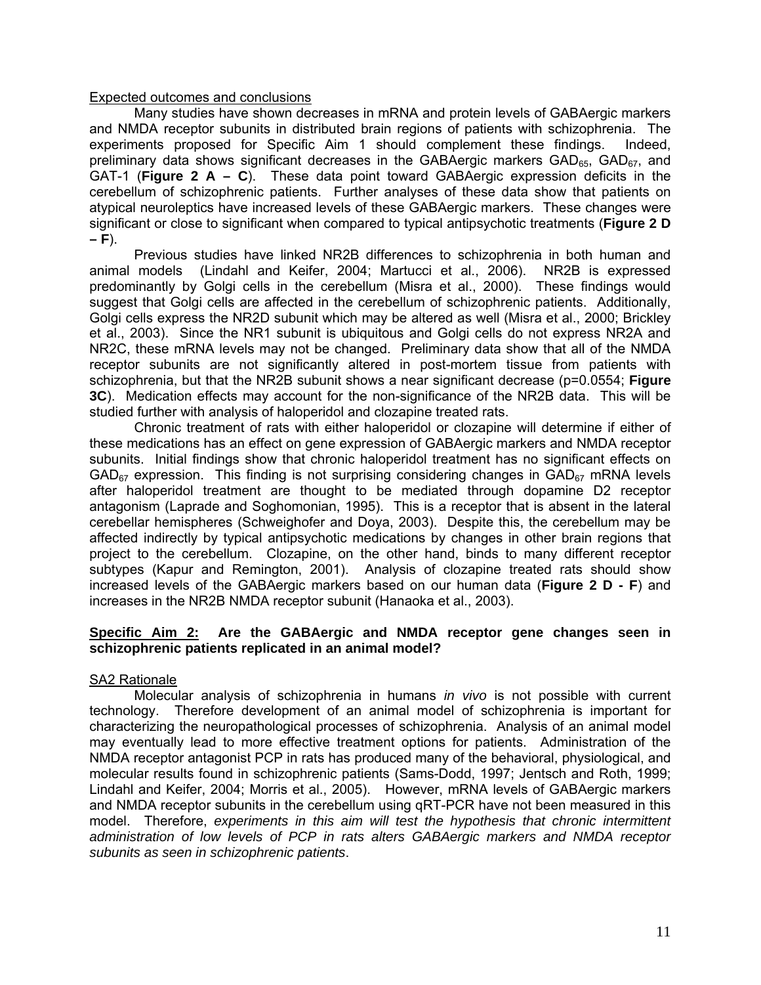# Expected outcomes and conclusions

Many studies have shown decreases in mRNA and protein levels of GABAergic markers and NMDA receptor subunits in distributed brain regions of patients with schizophrenia. The experiments proposed for Specific Aim 1 should complement these findings. Indeed, preliminary data shows significant decreases in the GABAergic markers  $GAD_{65}$ ,  $GAD_{67}$ , and GAT-1 (**Figure 2 A – C**). These data point toward GABAergic expression deficits in the cerebellum of schizophrenic patients. Further analyses of these data show that patients on atypical neuroleptics have increased levels of these GABAergic markers. These changes were significant or close to significant when compared to typical antipsychotic treatments (**Figure 2 D – F**).

Previous studies have linked NR2B differences to schizophrenia in both human and animal models (Lindahl and Keifer, 2004; Martucci et al., 2006). NR2B is expressed predominantly by Golgi cells in the cerebellum (Misra et al., 2000). These findings would suggest that Golgi cells are affected in the cerebellum of schizophrenic patients. Additionally, Golgi cells express the NR2D subunit which may be altered as well (Misra et al., 2000; Brickley et al., 2003). Since the NR1 subunit is ubiquitous and Golgi cells do not express NR2A and NR2C, these mRNA levels may not be changed. Preliminary data show that all of the NMDA receptor subunits are not significantly altered in post-mortem tissue from patients with schizophrenia, but that the NR2B subunit shows a near significant decrease (p=0.0554; **Figure 3C**). Medication effects may account for the non-significance of the NR2B data. This will be studied further with analysis of haloperidol and clozapine treated rats.

Chronic treatment of rats with either haloperidol or clozapine will determine if either of these medications has an effect on gene expression of GABAergic markers and NMDA receptor subunits. Initial findings show that chronic haloperidol treatment has no significant effects on  $GAD_{67}$  expression. This finding is not surprising considering changes in  $GAD_{67}$  mRNA levels after haloperidol treatment are thought to be mediated through dopamine D2 receptor antagonism (Laprade and Soghomonian, 1995). This is a receptor that is absent in the lateral cerebellar hemispheres (Schweighofer and Doya, 2003). Despite this, the cerebellum may be affected indirectly by typical antipsychotic medications by changes in other brain regions that project to the cerebellum. Clozapine, on the other hand, binds to many different receptor subtypes (Kapur and Remington, 2001). Analysis of clozapine treated rats should show increased levels of the GABAergic markers based on our human data (**Figure 2 D - F**) and increases in the NR2B NMDA receptor subunit (Hanaoka et al., 2003).

#### Specific Aim 2: Are the GABAergic and NMDA receptor gene changes seen in **schizophrenic patients replicated in an animal model?**

# SA2 Rationale

 Molecular analysis of schizophrenia in humans *in vivo* is not possible with current technology. Therefore development of an animal model of schizophrenia is important for characterizing the neuropathological processes of schizophrenia. Analysis of an animal model may eventually lead to more effective treatment options for patients. Administration of the NMDA receptor antagonist PCP in rats has produced many of the behavioral, physiological, and molecular results found in schizophrenic patients (Sams-Dodd, 1997; Jentsch and Roth, 1999; Lindahl and Keifer, 2004; Morris et al., 2005). However, mRNA levels of GABAergic markers and NMDA receptor subunits in the cerebellum using qRT-PCR have not been measured in this model. Therefore, *experiments in this aim will test the hypothesis that chronic intermittent administration of low levels of PCP in rats alters GABAergic markers and NMDA receptor subunits as seen in schizophrenic patients*.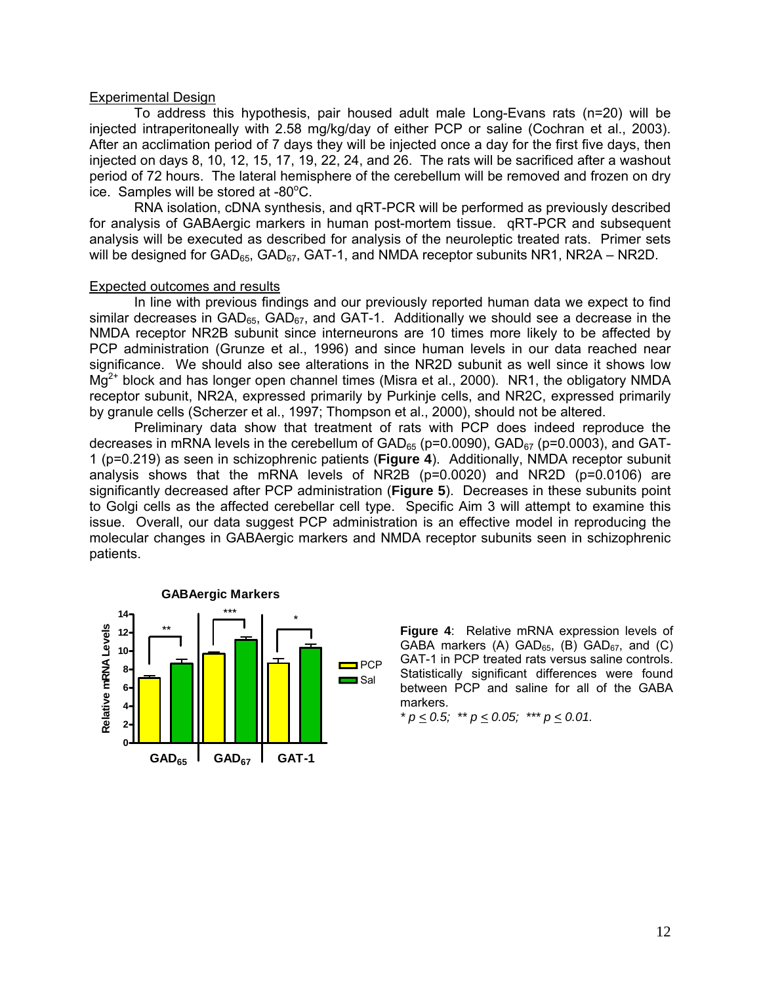#### Experimental Design

To address this hypothesis, pair housed adult male Long-Evans rats (n=20) will be injected intraperitoneally with 2.58 mg/kg/day of either PCP or saline (Cochran et al., 2003). After an acclimation period of 7 days they will be injected once a day for the first five days, then injected on days 8, 10, 12, 15, 17, 19, 22, 24, and 26. The rats will be sacrificed after a washout period of 72 hours. The lateral hemisphere of the cerebellum will be removed and frozen on dry  $\frac{1}{2}$  ice. Samples will be stored at -80 $^{\circ}$ C.

RNA isolation, cDNA synthesis, and qRT-PCR will be performed as previously described for analysis of GABAergic markers in human post-mortem tissue. qRT-PCR and subsequent analysis will be executed as described for analysis of the neuroleptic treated rats. Primer sets will be designed for  $GAD_{65}$ ,  $GAD_{67}$ ,  $GAT-1$ , and NMDA receptor subunits NR1, NR2A – NR2D.

#### **Expected outcomes and results**

In line with previous findings and our previously reported human data we expect to find similar decreases in GAD<sub>65</sub>, GAD<sub>67</sub>, and GAT-1. Additionally we should see a decrease in the NMDA receptor NR2B subunit since interneurons are 10 times more likely to be affected by PCP administration (Grunze et al., 1996) and since human levels in our data reached near significance. We should also see alterations in the NR2D subunit as well since it shows low  $Mg^{2+}$  block and has longer open channel times (Misra et al., 2000). NR1, the obligatory NMDA receptor subunit, NR2A, expressed primarily by Purkinje cells, and NR2C, expressed primarily by granule cells (Scherzer et al., 1997; Thompson et al., 2000), should not be altered.

Preliminary data show that treatment of rats with PCP does indeed reproduce the decreases in mRNA levels in the cerebellum of  $GAD_{65}$  (p=0.0090),  $GAD_{67}$  (p=0.0003), and GAT-1 (p=0.219) as seen in schizophrenic patients (**Figure 4**). Additionally, NMDA receptor subunit analysis shows that the mRNA levels of NR2B (p=0.0020) and NR2D (p=0.0106) are significantly decreased after PCP administration (**Figure 5**). Decreases in these subunits point to Golgi cells as the affected cerebellar cell type. Specific Aim 3 will attempt to examine this issue. Overall, our data suggest PCP administration is an effective model in reproducing the molecular changes in GABAergic markers and NMDA receptor subunits seen in schizophrenic patients.



**Figure 4**: Relative mRNA expression levels of GABA markers  $(A)$  GAD<sub>65</sub>,  $(B)$  GAD<sub>67</sub>, and  $(C)$ GAT-1 in PCP treated rats versus saline controls. Statistically significant differences were found between PCP and saline for all of the GABA markers.

 $p \leq 0.5$ ;  $\rightarrow p \leq 0.05$ ;  $\rightarrow p \leq 0.01$ .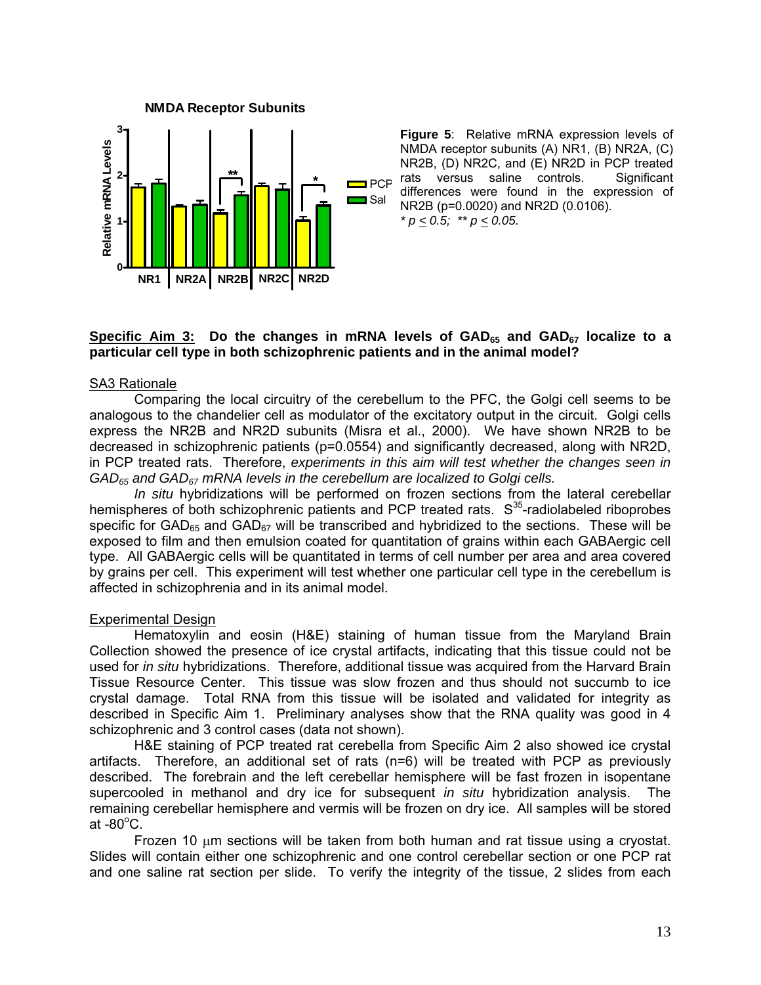

**Figure 5**: Relative mRNA expression levels of NMDA receptor subunits (A) NR1, (B) NR2A, (C) NR2B, (D) NR2C, and (E) NR2D in PCP treated rats versus saline controls. Significant differences were found in the expression of NR2B (p=0.0020) and NR2D (0.0106).  $p \leq 0.5$ ; \*\*  $p \leq 0.05$ .

# Specific Aim 3: Do the changes in mRNA levels of GAD<sub>65</sub> and GAD<sub>67</sub> localize to a **particular cell type in both schizophrenic patients and in the animal model?**

# SA3 Rationale

Comparing the local circuitry of the cerebellum to the PFC, the Golgi cell seems to be analogous to the chandelier cell as modulator of the excitatory output in the circuit. Golgi cells express the NR2B and NR2D subunits (Misra et al., 2000). We have shown NR2B to be decreased in schizophrenic patients (p=0.0554) and significantly decreased, along with NR2D, in PCP treated rats. Therefore, *experiments in this aim will test whether the changes seen in GAD65 and GAD67 mRNA levels in the cerebellum are localized to Golgi cells.*

*In situ* hybridizations will be performed on frozen sections from the lateral cerebellar hemispheres of both schizophrenic patients and PCP treated rats.  $S^{35}$ -radiolabeled riboprobes specific for  $GAD_{65}$  and  $GAD_{67}$  will be transcribed and hybridized to the sections. These will be exposed to film and then emulsion coated for quantitation of grains within each GABAergic cell type. All GABAergic cells will be quantitated in terms of cell number per area and area covered by grains per cell. This experiment will test whether one particular cell type in the cerebellum is affected in schizophrenia and in its animal model.

# **Experimental Design**

 Hematoxylin and eosin (H&E) staining of human tissue from the Maryland Brain Collection showed the presence of ice crystal artifacts, indicating that this tissue could not be used for *in situ* hybridizations. Therefore, additional tissue was acquired from the Harvard Brain Tissue Resource Center. This tissue was slow frozen and thus should not succumb to ice crystal damage. Total RNA from this tissue will be isolated and validated for integrity as described in Specific Aim 1. Preliminary analyses show that the RNA quality was good in 4 schizophrenic and 3 control cases (data not shown).

 H&E staining of PCP treated rat cerebella from Specific Aim 2 also showed ice crystal artifacts. Therefore, an additional set of rats (n=6) will be treated with PCP as previously described. The forebrain and the left cerebellar hemisphere will be fast frozen in isopentane supercooled in methanol and dry ice for subsequent *in situ* hybridization analysis. The remaining cerebellar hemisphere and vermis will be frozen on dry ice. All samples will be stored at -80 $^{\circ}$ C. $\overline{\phantom{a}}$ 

Frozen 10  $\mu$ m sections will be taken from both human and rat tissue using a cryostat. Slides will contain either one schizophrenic and one control cerebellar section or one PCP rat and one saline rat section per slide. To verify the integrity of the tissue, 2 slides from each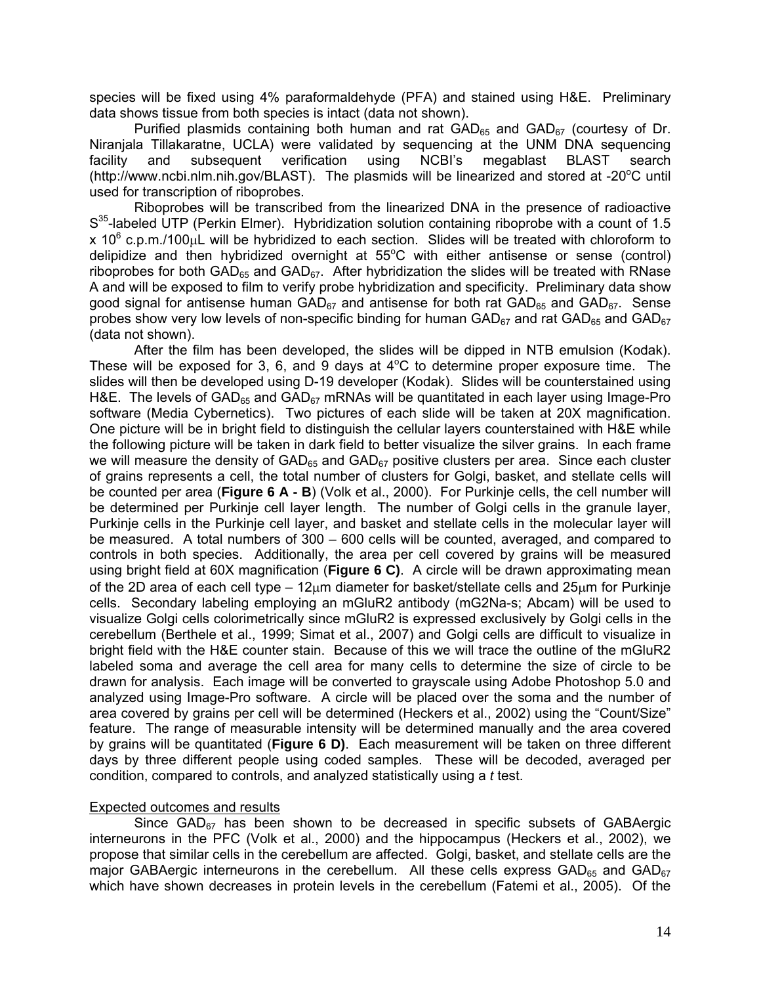species will be fixed using 4% paraformaldehyde (PFA) and stained using H&E. Preliminary data shows tissue from both species is intact (data not shown).

Purified plasmids containing both human and rat  $GAD_{65}$  and  $GAD_{67}$  (courtesy of Dr. Niranjala Tillakaratne, UCLA) were validated by sequencing at the UNM DNA sequencing facility and subsequent verification using NCBI's megablast BLAST search (<http://www.ncbi.nlm.nih.gov/BLAST>). The plasmids will be linearized and stored at -20°C until used for transcription of riboprobes.

 Riboprobes will be transcribed from the linearized DNA in the presence of radioactive S<sup>35</sup>-labeled UTP (Perkin Elmer). Hybridization solution containing riboprobe with a count of 1.5 x 10<sup>6</sup> c.p.m./100 $\mu$ L will be hybridized to each section. Slides will be treated with chloroform to delipidize and then hybridized overnight at  $55^{\circ}$ C with either antisense or sense (control) riboprobes for both GAD<sub>65</sub> and GAD<sub>67</sub>. After hybridization the slides will be treated with RNase A and will be exposed to film to verify probe hybridization and specificity. Preliminary data show good signal for antisense human  $GAD_{67}$  and antisense for both rat  $GAD_{65}$  and  $GAD_{67}$ . Sense probes show very low levels of non-specific binding for human  $GAD_{67}$  and rat  $GAD_{65}$  and  $GAD_{67}$ (data not shown).

 After the film has been developed, the slides will be dipped in NTB emulsion (Kodak). These will be exposed for 3, 6, and 9 days at  $4^{\circ}$ C to determine proper exposure time. The slides will then be developed using D-19 developer (Kodak). Slides will be counterstained using H&E. The levels of  $GAD_{65}$  and  $GAD_{67}$  mRNAs will be quantitated in each layer using Image-Pro software (Media Cybernetics). Two pictures of each slide will be taken at 20X magnification. One picture will be in bright field to distinguish the cellular layers counterstained with H&E while the following picture will be taken in dark field to better visualize the silver grains. In each frame we will measure the density of  $GAD_{65}$  and  $GAD_{67}$  positive clusters per area. Since each cluster of grains represents a cell, the total number of clusters for Golgi, basket, and stellate cells will be counted per area (Figure 6 A - B) (Volk et al., 2000). For Purkinje cells, the cell number will be determined per Purkinje cell layer length. The number of Golgi cells in the granule layer, Purkinje cells in the Purkinje cell layer, and basket and stellate cells in the molecular layer will be measured. A total numbers of 300 – 600 cells will be counted, averaged, and compared to controls in both species. Additionally, the area per cell covered by grains will be measured using bright field at 60X magnification (**Figure 6 C)**. A circle will be drawn approximating mean of the 2D area of each cell type – 12μm diameter for basket/stellate cells and 25μm for Purkinje cells. Secondary labeling employing an mGluR2 antibody (mG2Na-s; Abcam) will be used to visualize Golgi cells colorimetrically since mGluR2 is expressed exclusively by Golgi cells in the cerebellum (Berthele et al., 1999; Simat et al., 2007) and Golgi cells are difficult to visualize in bright field with the H&E counter stain. Because of this we will trace the outline of the mGluR2 labeled soma and average the cell area for many cells to determine the size of circle to be drawn for analysis. Each image will be converted to grayscale using Adobe Photoshop 5.0 and analyzed using Image-Pro software. A circle will be placed over the soma and the number of area covered by grains per cell will be determined (Heckers et al., 2002) using the "Count/Size" feature. The range of measurable intensity will be determined manually and the area covered by grains will be quantitated (**Figure 6 D)**. Each measurement will be taken on three different days by three different people using coded samples. These will be decoded, averaged per condition, compared to controls, and analyzed statistically using a *t* test.

## Expected outcomes and results

Since  $GAD_{67}$  has been shown to be decreased in specific subsets of  $GABA$ ergic interneurons in the PFC (Volk et al., 2000) and the hippocampus (Heckers et al., 2002), we propose that similar cells in the cerebellum are affected. Golgi, basket, and stellate cells are the major GABAergic interneurons in the cerebellum. All these cells express GAD<sub>65</sub> and GAD $_{67}$ which have shown decreases in protein levels in the cerebellum (Fatemi et al., 2005). Of the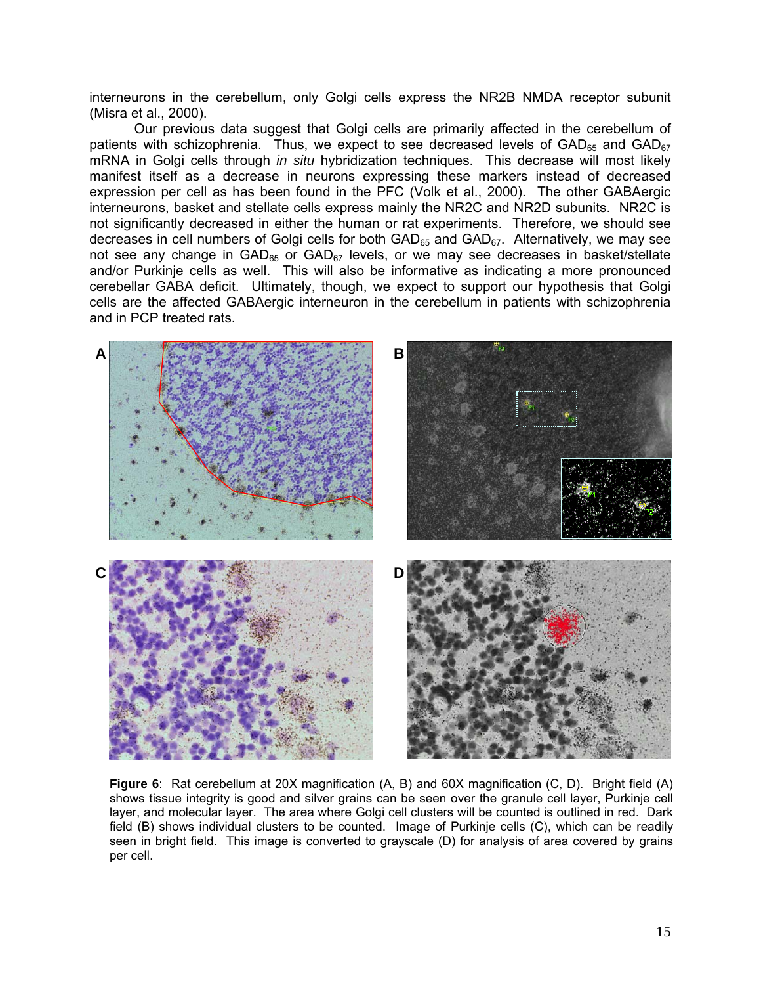interneurons in the cerebellum, only Golgi cells express the NR2B NMDA receptor subunit (Misra et al., 2000).

 Our previous data suggest that Golgi cells are primarily affected in the cerebellum of patients with schizophrenia. Thus, we expect to see decreased levels of  $GAD_{65}$  and  $GAD_{67}$ mRNA in Golgi cells through *in situ* hybridization techniques. This decrease will most likely manifest itself as a decrease in neurons expressing these markers instead of decreased expression per cell as has been found in the PFC (Volk et al., 2000). The other GABAergic interneurons, basket and stellate cells express mainly the NR2C and NR2D subunits. NR2C is not significantly decreased in either the human or rat experiments. Therefore, we should see decreases in cell numbers of Golgi cells for both  $GAD_{65}$  and  $GAD_{67}$ . Alternatively, we may see not see any change in  $GAD_{65}$  or  $GAD_{67}$  levels, or we may see decreases in basket/stellate and/or Purkinje cells as well. This will also be informative as indicating a more pronounced cerebellar GABA deficit. Ultimately, though, we expect to support our hypothesis that Golgi cells are the affected GABAergic interneuron in the cerebellum in patients with schizophrenia and in PCP treated rats.



**Figure 6**: Rat cerebellum at 20X magnification (A, B) and 60X magnification (C, D). Bright field (A) shows tissue integrity is good and silver grains can be seen over the granule cell layer, Purkinje cell layer, and molecular layer. The area where Golgi cell clusters will be counted is outlined in red. Dark field (B) shows individual clusters to be counted. Image of Purkinje cells (C), which can be readily seen in bright field. This image is converted to grayscale (D) for analysis of area covered by grains per cell.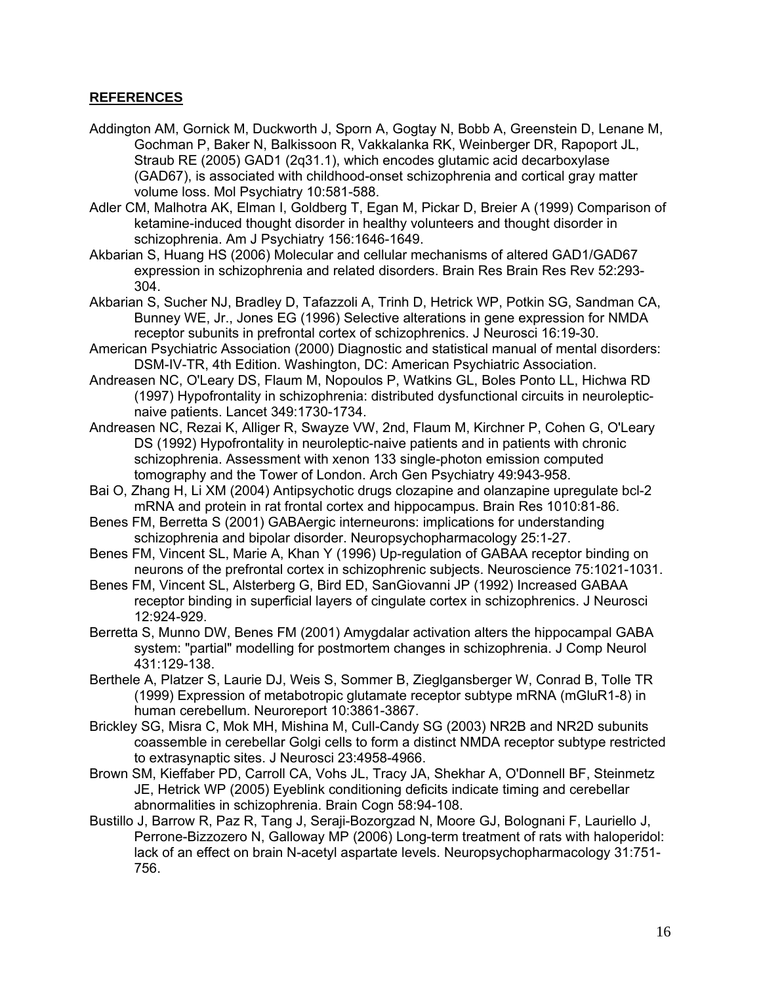# **REFERENCES**

- Addington AM, Gornick M, Duckworth J, Sporn A, Gogtay N, Bobb A, Greenstein D, Lenane M, Gochman P, Baker N, Balkissoon R, Vakkalanka RK, Weinberger DR, Rapoport JL, Straub RE (2005) GAD1 (2q31.1), which encodes glutamic acid decarboxylase (GAD67), is associated with childhood-onset schizophrenia and cortical gray matter volume loss. Mol Psychiatry 10:581-588.
- Adler CM, Malhotra AK, Elman I, Goldberg T, Egan M, Pickar D, Breier A (1999) Comparison of ketamine-induced thought disorder in healthy volunteers and thought disorder in schizophrenia. Am J Psychiatry 156:1646-1649.
- Akbarian S, Huang HS (2006) Molecular and cellular mechanisms of altered GAD1/GAD67 expression in schizophrenia and related disorders. Brain Res Brain Res Rev 52:293- 304.
- Akbarian S, Sucher NJ, Bradley D, Tafazzoli A, Trinh D, Hetrick WP, Potkin SG, Sandman CA, Bunney WE, Jr., Jones EG (1996) Selective alterations in gene expression for NMDA receptor subunits in prefrontal cortex of schizophrenics. J Neurosci 16:19-30.
- American Psychiatric Association (2000) Diagnostic and statistical manual of mental disorders: DSM-IV-TR, 4th Edition. Washington, DC: American Psychiatric Association.
- Andreasen NC, O'Leary DS, Flaum M, Nopoulos P, Watkins GL, Boles Ponto LL, Hichwa RD (1997) Hypofrontality in schizophrenia: distributed dysfunctional circuits in neurolepticnaive patients. Lancet 349:1730-1734.
- Andreasen NC, Rezai K, Alliger R, Swayze VW, 2nd, Flaum M, Kirchner P, Cohen G, O'Leary DS (1992) Hypofrontality in neuroleptic-naive patients and in patients with chronic schizophrenia. Assessment with xenon 133 single-photon emission computed tomography and the Tower of London. Arch Gen Psychiatry 49:943-958.
- Bai O, Zhang H, Li XM (2004) Antipsychotic drugs clozapine and olanzapine upregulate bcl-2 mRNA and protein in rat frontal cortex and hippocampus. Brain Res 1010:81-86.
- Benes FM, Berretta S (2001) GABAergic interneurons: implications for understanding schizophrenia and bipolar disorder. Neuropsychopharmacology 25:1-27.
- Benes FM, Vincent SL, Marie A, Khan Y (1996) Up-regulation of GABAA receptor binding on neurons of the prefrontal cortex in schizophrenic subjects. Neuroscience 75:1021-1031.
- Benes FM, Vincent SL, Alsterberg G, Bird ED, SanGiovanni JP (1992) Increased GABAA receptor binding in superficial layers of cingulate cortex in schizophrenics. J Neurosci 12:924-929.
- Berretta S, Munno DW, Benes FM (2001) Amygdalar activation alters the hippocampal GABA system: "partial" modelling for postmortem changes in schizophrenia. J Comp Neurol 431:129-138.
- Berthele A, Platzer S, Laurie DJ, Weis S, Sommer B, Zieglgansberger W, Conrad B, Tolle TR (1999) Expression of metabotropic glutamate receptor subtype mRNA (mGluR1-8) in human cerebellum. Neuroreport 10:3861-3867.
- Brickley SG, Misra C, Mok MH, Mishina M, Cull-Candy SG (2003) NR2B and NR2D subunits coassemble in cerebellar Golgi cells to form a distinct NMDA receptor subtype restricted to extrasynaptic sites. J Neurosci 23:4958-4966.
- Brown SM, Kieffaber PD, Carroll CA, Vohs JL, Tracy JA, Shekhar A, O'Donnell BF, Steinmetz JE, Hetrick WP (2005) Eyeblink conditioning deficits indicate timing and cerebellar abnormalities in schizophrenia. Brain Cogn 58:94-108.
- Bustillo J, Barrow R, Paz R, Tang J, Seraji-Bozorgzad N, Moore GJ, Bolognani F, Lauriello J, Perrone-Bizzozero N, Galloway MP (2006) Long-term treatment of rats with haloperidol: lack of an effect on brain N-acetyl aspartate levels. Neuropsychopharmacology 31:751- 756.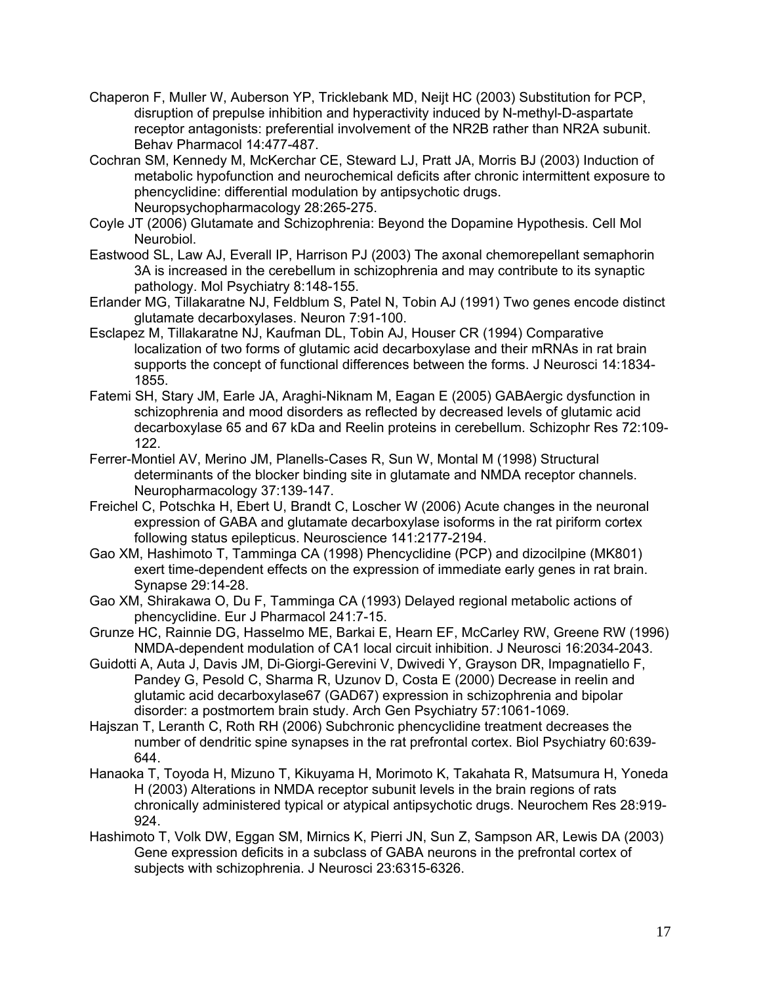- Chaperon F, Muller W, Auberson YP, Tricklebank MD, Neijt HC (2003) Substitution for PCP, disruption of prepulse inhibition and hyperactivity induced by N-methyl-D-aspartate receptor antagonists: preferential involvement of the NR2B rather than NR2A subunit. Behav Pharmacol 14:477-487.
- Cochran SM, Kennedy M, McKerchar CE, Steward LJ, Pratt JA, Morris BJ (2003) Induction of metabolic hypofunction and neurochemical deficits after chronic intermittent exposure to phencyclidine: differential modulation by antipsychotic drugs. Neuropsychopharmacology 28:265-275.
- Coyle JT (2006) Glutamate and Schizophrenia: Beyond the Dopamine Hypothesis. Cell Mol Neurobiol.
- Eastwood SL, Law AJ, Everall IP, Harrison PJ (2003) The axonal chemorepellant semaphorin 3A is increased in the cerebellum in schizophrenia and may contribute to its synaptic pathology. Mol Psychiatry 8:148-155.
- Erlander MG, Tillakaratne NJ, Feldblum S, Patel N, Tobin AJ (1991) Two genes encode distinct glutamate decarboxylases. Neuron 7:91-100.
- Esclapez M, Tillakaratne NJ, Kaufman DL, Tobin AJ, Houser CR (1994) Comparative localization of two forms of glutamic acid decarboxylase and their mRNAs in rat brain supports the concept of functional differences between the forms. J Neurosci 14:1834- 1855.
- Fatemi SH, Stary JM, Earle JA, Araghi-Niknam M, Eagan E (2005) GABAergic dysfunction in schizophrenia and mood disorders as reflected by decreased levels of glutamic acid decarboxylase 65 and 67 kDa and Reelin proteins in cerebellum. Schizophr Res 72:109- 122.
- Ferrer-Montiel AV, Merino JM, Planells-Cases R, Sun W, Montal M (1998) Structural determinants of the blocker binding site in glutamate and NMDA receptor channels. Neuropharmacology 37:139-147.
- Freichel C, Potschka H, Ebert U, Brandt C, Loscher W (2006) Acute changes in the neuronal expression of GABA and glutamate decarboxylase isoforms in the rat piriform cortex following status epilepticus. Neuroscience 141:2177-2194.
- Gao XM, Hashimoto T, Tamminga CA (1998) Phencyclidine (PCP) and dizocilpine (MK801) exert time-dependent effects on the expression of immediate early genes in rat brain. Synapse 29:14-28.
- Gao XM, Shirakawa O, Du F, Tamminga CA (1993) Delayed regional metabolic actions of phencyclidine. Eur J Pharmacol 241:7-15.
- Grunze HC, Rainnie DG, Hasselmo ME, Barkai E, Hearn EF, McCarley RW, Greene RW (1996) NMDA-dependent modulation of CA1 local circuit inhibition. J Neurosci 16:2034-2043.
- Guidotti A, Auta J, Davis JM, Di-Giorgi-Gerevini V, Dwivedi Y, Grayson DR, Impagnatiello F, Pandey G, Pesold C, Sharma R, Uzunov D, Costa E (2000) Decrease in reelin and glutamic acid decarboxylase67 (GAD67) expression in schizophrenia and bipolar disorder: a postmortem brain study. Arch Gen Psychiatry 57:1061-1069.
- Hajszan T, Leranth C, Roth RH (2006) Subchronic phencyclidine treatment decreases the number of dendritic spine synapses in the rat prefrontal cortex. Biol Psychiatry 60:639- 644.
- Hanaoka T, Toyoda H, Mizuno T, Kikuyama H, Morimoto K, Takahata R, Matsumura H, Yoneda H (2003) Alterations in NMDA receptor subunit levels in the brain regions of rats chronically administered typical or atypical antipsychotic drugs. Neurochem Res 28:919- 924.
- Hashimoto T, Volk DW, Eggan SM, Mirnics K, Pierri JN, Sun Z, Sampson AR, Lewis DA (2003) Gene expression deficits in a subclass of GABA neurons in the prefrontal cortex of subjects with schizophrenia. J Neurosci 23:6315-6326.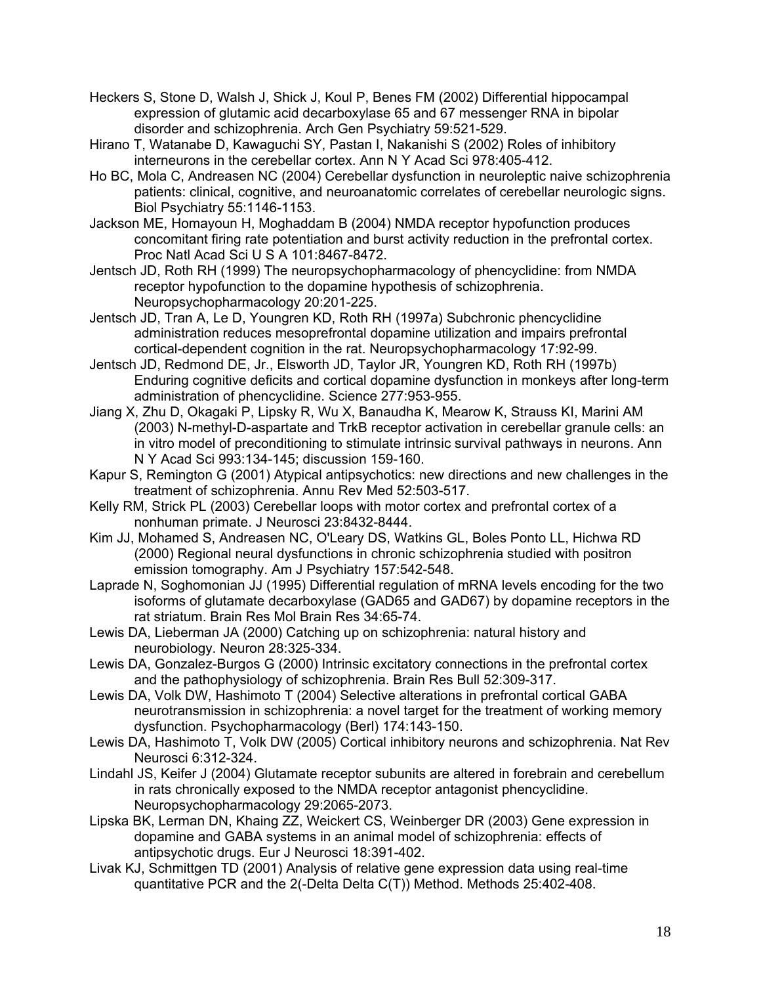- Heckers S, Stone D, Walsh J, Shick J, Koul P, Benes FM (2002) Differential hippocampal expression of glutamic acid decarboxylase 65 and 67 messenger RNA in bipolar disorder and schizophrenia. Arch Gen Psychiatry 59:521-529.
- Hirano T, Watanabe D, Kawaguchi SY, Pastan I, Nakanishi S (2002) Roles of inhibitory interneurons in the cerebellar cortex. Ann N Y Acad Sci 978:405-412.
- Ho BC, Mola C, Andreasen NC (2004) Cerebellar dysfunction in neuroleptic naive schizophrenia patients: clinical, cognitive, and neuroanatomic correlates of cerebellar neurologic signs. Biol Psychiatry 55:1146-1153.
- Jackson ME, Homayoun H, Moghaddam B (2004) NMDA receptor hypofunction produces concomitant firing rate potentiation and burst activity reduction in the prefrontal cortex. Proc Natl Acad Sci U S A 101:8467-8472.
- Jentsch JD, Roth RH (1999) The neuropsychopharmacology of phencyclidine: from NMDA receptor hypofunction to the dopamine hypothesis of schizophrenia. Neuropsychopharmacology 20:201-225.
- Jentsch JD, Tran A, Le D, Youngren KD, Roth RH (1997a) Subchronic phencyclidine administration reduces mesoprefrontal dopamine utilization and impairs prefrontal cortical-dependent cognition in the rat. Neuropsychopharmacology 17:92-99.
- Jentsch JD, Redmond DE, Jr., Elsworth JD, Taylor JR, Youngren KD, Roth RH (1997b) Enduring cognitive deficits and cortical dopamine dysfunction in monkeys after long-term administration of phencyclidine. Science 277:953-955.
- Jiang X, Zhu D, Okagaki P, Lipsky R, Wu X, Banaudha K, Mearow K, Strauss KI, Marini AM (2003) N-methyl-D-aspartate and TrkB receptor activation in cerebellar granule cells: an in vitro model of preconditioning to stimulate intrinsic survival pathways in neurons. Ann N Y Acad Sci 993:134-145; discussion 159-160.
- Kapur S, Remington G (2001) Atypical antipsychotics: new directions and new challenges in the treatment of schizophrenia. Annu Rev Med 52:503-517.
- Kelly RM, Strick PL (2003) Cerebellar loops with motor cortex and prefrontal cortex of a nonhuman primate. J Neurosci 23:8432-8444.
- Kim JJ, Mohamed S, Andreasen NC, O'Leary DS, Watkins GL, Boles Ponto LL, Hichwa RD (2000) Regional neural dysfunctions in chronic schizophrenia studied with positron emission tomography. Am J Psychiatry 157:542-548.
- Laprade N, Soghomonian JJ (1995) Differential regulation of mRNA levels encoding for the two isoforms of glutamate decarboxylase (GAD65 and GAD67) by dopamine receptors in the rat striatum. Brain Res Mol Brain Res 34:65-74.
- Lewis DA, Lieberman JA (2000) Catching up on schizophrenia: natural history and neurobiology. Neuron 28:325-334.
- Lewis DA, Gonzalez-Burgos G (2000) Intrinsic excitatory connections in the prefrontal cortex and the pathophysiology of schizophrenia. Brain Res Bull 52:309-317.
- Lewis DA, Volk DW, Hashimoto T (2004) Selective alterations in prefrontal cortical GABA neurotransmission in schizophrenia: a novel target for the treatment of working memory dysfunction. Psychopharmacology (Berl) 174:143-150.
- Lewis DA, Hashimoto T, Volk DW (2005) Cortical inhibitory neurons and schizophrenia. Nat Rev Neurosci 6:312-324.
- Lindahl JS, Keifer J (2004) Glutamate receptor subunits are altered in forebrain and cerebellum in rats chronically exposed to the NMDA receptor antagonist phencyclidine. Neuropsychopharmacology 29:2065-2073.
- Lipska BK, Lerman DN, Khaing ZZ, Weickert CS, Weinberger DR (2003) Gene expression in dopamine and GABA systems in an animal model of schizophrenia: effects of antipsychotic drugs. Eur J Neurosci 18:391-402.
- Livak KJ, Schmittgen TD (2001) Analysis of relative gene expression data using real-time quantitative PCR and the 2(-Delta Delta C(T)) Method. Methods 25:402-408.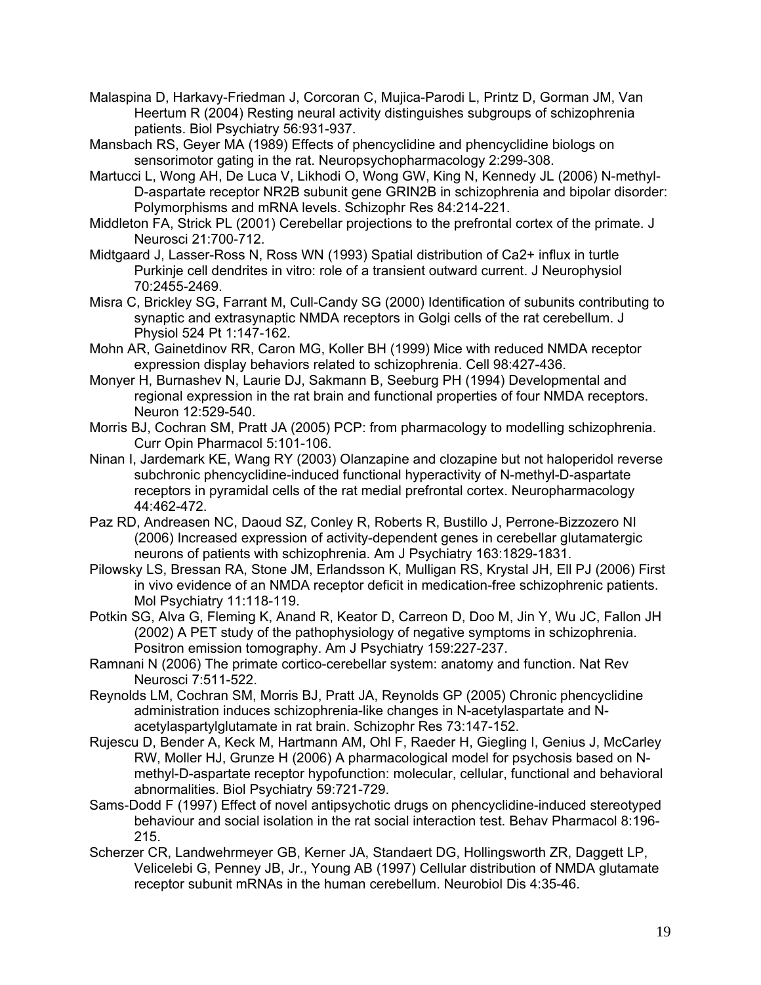Malaspina D, Harkavy-Friedman J, Corcoran C, Mujica-Parodi L, Printz D, Gorman JM, Van Heertum R (2004) Resting neural activity distinguishes subgroups of schizophrenia patients. Biol Psychiatry 56:931-937.

Mansbach RS, Geyer MA (1989) Effects of phencyclidine and phencyclidine biologs on sensorimotor gating in the rat. Neuropsychopharmacology 2:299-308.

Martucci L, Wong AH, De Luca V, Likhodi O, Wong GW, King N, Kennedy JL (2006) N-methyl-D-aspartate receptor NR2B subunit gene GRIN2B in schizophrenia and bipolar disorder: Polymorphisms and mRNA levels. Schizophr Res 84:214-221.

Middleton FA, Strick PL (2001) Cerebellar projections to the prefrontal cortex of the primate. J Neurosci 21:700-712.

Midtgaard J, Lasser-Ross N, Ross WN (1993) Spatial distribution of Ca2+ influx in turtle Purkinje cell dendrites in vitro: role of a transient outward current. J Neurophysiol 70:2455-2469.

Misra C, Brickley SG, Farrant M, Cull-Candy SG (2000) Identification of subunits contributing to synaptic and extrasynaptic NMDA receptors in Golgi cells of the rat cerebellum. J Physiol 524 Pt 1:147-162.

Mohn AR, Gainetdinov RR, Caron MG, Koller BH (1999) Mice with reduced NMDA receptor expression display behaviors related to schizophrenia. Cell 98:427-436.

Monyer H, Burnashev N, Laurie DJ, Sakmann B, Seeburg PH (1994) Developmental and regional expression in the rat brain and functional properties of four NMDA receptors. Neuron 12:529-540.

Morris BJ, Cochran SM, Pratt JA (2005) PCP: from pharmacology to modelling schizophrenia. Curr Opin Pharmacol 5:101-106.

Ninan I, Jardemark KE, Wang RY (2003) Olanzapine and clozapine but not haloperidol reverse subchronic phencyclidine-induced functional hyperactivity of N-methyl-D-aspartate receptors in pyramidal cells of the rat medial prefrontal cortex. Neuropharmacology 44:462-472.

Paz RD, Andreasen NC, Daoud SZ, Conley R, Roberts R, Bustillo J, Perrone-Bizzozero NI (2006) Increased expression of activity-dependent genes in cerebellar glutamatergic neurons of patients with schizophrenia. Am J Psychiatry 163:1829-1831.

Pilowsky LS, Bressan RA, Stone JM, Erlandsson K, Mulligan RS, Krystal JH, Ell PJ (2006) First in vivo evidence of an NMDA receptor deficit in medication-free schizophrenic patients. Mol Psychiatry 11:118-119.

Potkin SG, Alva G, Fleming K, Anand R, Keator D, Carreon D, Doo M, Jin Y, Wu JC, Fallon JH (2002) A PET study of the pathophysiology of negative symptoms in schizophrenia. Positron emission tomography. Am J Psychiatry 159:227-237.

Ramnani N (2006) The primate cortico-cerebellar system: anatomy and function. Nat Rev Neurosci 7:511-522.

Reynolds LM, Cochran SM, Morris BJ, Pratt JA, Reynolds GP (2005) Chronic phencyclidine administration induces schizophrenia-like changes in N-acetylaspartate and Nacetylaspartylglutamate in rat brain. Schizophr Res 73:147-152.

Rujescu D, Bender A, Keck M, Hartmann AM, Ohl F, Raeder H, Giegling I, Genius J, McCarley RW, Moller HJ, Grunze H (2006) A pharmacological model for psychosis based on Nmethyl-D-aspartate receptor hypofunction: molecular, cellular, functional and behavioral abnormalities. Biol Psychiatry 59:721-729.

Sams-Dodd F (1997) Effect of novel antipsychotic drugs on phencyclidine-induced stereotyped behaviour and social isolation in the rat social interaction test. Behav Pharmacol 8:196- 215.

Scherzer CR, Landwehrmeyer GB, Kerner JA, Standaert DG, Hollingsworth ZR, Daggett LP, Velicelebi G, Penney JB, Jr., Young AB (1997) Cellular distribution of NMDA glutamate receptor subunit mRNAs in the human cerebellum. Neurobiol Dis 4:35-46.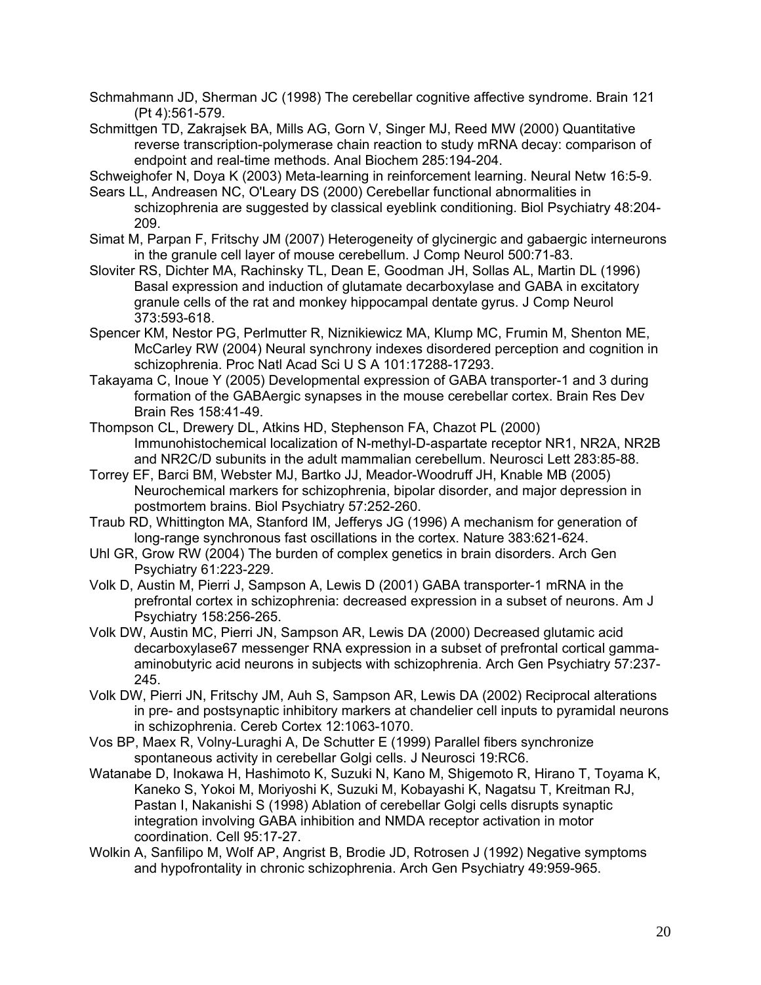Schmahmann JD, Sherman JC (1998) The cerebellar cognitive affective syndrome. Brain 121 (Pt 4):561-579.

Schmittgen TD, Zakrajsek BA, Mills AG, Gorn V, Singer MJ, Reed MW (2000) Quantitative reverse transcription-polymerase chain reaction to study mRNA decay: comparison of endpoint and real-time methods. Anal Biochem 285:194-204.

Schweighofer N, Doya K (2003) Meta-learning in reinforcement learning. Neural Netw 16:5-9.

Sears LL, Andreasen NC, O'Leary DS (2000) Cerebellar functional abnormalities in schizophrenia are suggested by classical eyeblink conditioning. Biol Psychiatry 48:204- 209.

- Simat M, Parpan F, Fritschy JM (2007) Heterogeneity of glycinergic and gabaergic interneurons in the granule cell layer of mouse cerebellum. J Comp Neurol 500:71-83.
- Sloviter RS, Dichter MA, Rachinsky TL, Dean E, Goodman JH, Sollas AL, Martin DL (1996) Basal expression and induction of glutamate decarboxylase and GABA in excitatory granule cells of the rat and monkey hippocampal dentate gyrus. J Comp Neurol 373:593-618.
- Spencer KM, Nestor PG, Perlmutter R, Niznikiewicz MA, Klump MC, Frumin M, Shenton ME, McCarley RW (2004) Neural synchrony indexes disordered perception and cognition in schizophrenia. Proc Natl Acad Sci U S A 101:17288-17293.
- Takayama C, Inoue Y (2005) Developmental expression of GABA transporter-1 and 3 during formation of the GABAergic synapses in the mouse cerebellar cortex. Brain Res Dev Brain Res 158:41-49.

Thompson CL, Drewery DL, Atkins HD, Stephenson FA, Chazot PL (2000) Immunohistochemical localization of N-methyl-D-aspartate receptor NR1, NR2A, NR2B and NR2C/D subunits in the adult mammalian cerebellum. Neurosci Lett 283:85-88.

- Torrey EF, Barci BM, Webster MJ, Bartko JJ, Meador-Woodruff JH, Knable MB (2005) Neurochemical markers for schizophrenia, bipolar disorder, and major depression in postmortem brains. Biol Psychiatry 57:252-260.
- Traub RD, Whittington MA, Stanford IM, Jefferys JG (1996) A mechanism for generation of long-range synchronous fast oscillations in the cortex. Nature 383:621-624.
- Uhl GR, Grow RW (2004) The burden of complex genetics in brain disorders. Arch Gen Psychiatry 61:223-229.
- Volk D, Austin M, Pierri J, Sampson A, Lewis D (2001) GABA transporter-1 mRNA in the prefrontal cortex in schizophrenia: decreased expression in a subset of neurons. Am J Psychiatry 158:256-265.
- Volk DW, Austin MC, Pierri JN, Sampson AR, Lewis DA (2000) Decreased glutamic acid decarboxylase67 messenger RNA expression in a subset of prefrontal cortical gammaaminobutyric acid neurons in subjects with schizophrenia. Arch Gen Psychiatry 57:237- 245.
- Volk DW, Pierri JN, Fritschy JM, Auh S, Sampson AR, Lewis DA (2002) Reciprocal alterations in pre- and postsynaptic inhibitory markers at chandelier cell inputs to pyramidal neurons in schizophrenia. Cereb Cortex 12:1063-1070.
- Vos BP, Maex R, Volny-Luraghi A, De Schutter E (1999) Parallel fibers synchronize spontaneous activity in cerebellar Golgi cells. J Neurosci 19:RC6.
- Watanabe D, Inokawa H, Hashimoto K, Suzuki N, Kano M, Shigemoto R, Hirano T, Toyama K, Kaneko S, Yokoi M, Moriyoshi K, Suzuki M, Kobayashi K, Nagatsu T, Kreitman RJ, Pastan I, Nakanishi S (1998) Ablation of cerebellar Golgi cells disrupts synaptic integration involving GABA inhibition and NMDA receptor activation in motor coordination. Cell 95:17-27.
- Wolkin A, Sanfilipo M, Wolf AP, Angrist B, Brodie JD, Rotrosen J (1992) Negative symptoms and hypofrontality in chronic schizophrenia. Arch Gen Psychiatry 49:959-965.